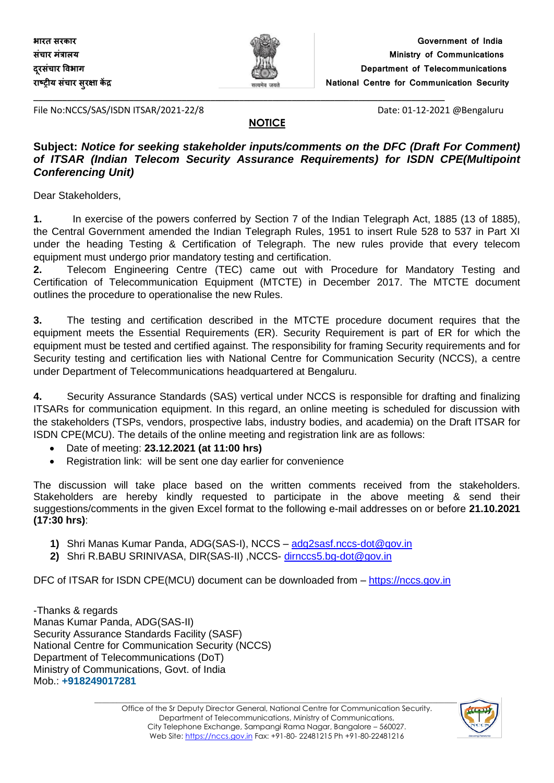

File No:NCCS/SAS/ISDN ITSAR/2021-22/8 Date: 01-12-2021 @Bengaluru

#### **NOTICE**

**\_\_\_\_\_\_\_\_\_\_\_\_\_\_\_\_\_\_\_\_\_\_\_\_\_\_\_\_\_\_\_\_\_\_\_\_\_\_\_\_\_\_\_\_\_\_\_\_\_\_\_\_\_\_\_\_\_\_\_\_\_\_\_\_\_\_\_\_\_\_\_\_\_\_\_\_\_\_\_\_\_\_\_\_\_\_**

#### **Subject:** *Notice for seeking stakeholder inputs/comments on the DFC (Draft For Comment) of ITSAR (Indian Telecom Security Assurance Requirements) for ISDN CPE(Multipoint Conferencing Unit)*

Dear Stakeholders,

**1.** In exercise of the powers conferred by Section 7 of the Indian Telegraph Act, 1885 (13 of 1885), the Central Government amended the Indian Telegraph Rules, 1951 to insert Rule 528 to 537 in Part XI under the heading Testing & Certification of Telegraph. The new rules provide that every telecom equipment must undergo prior mandatory testing and certification.

**2.** Telecom Engineering Centre (TEC) came out with Procedure for Mandatory Testing and Certification of Telecommunication Equipment (MTCTE) in December 2017. The MTCTE document outlines the procedure to operationalise the new Rules.

**3.** The testing and certification described in the MTCTE procedure document requires that the equipment meets the Essential Requirements (ER). Security Requirement is part of ER for which the equipment must be tested and certified against. The responsibility for framing Security requirements and for Security testing and certification lies with National Centre for Communication Security (NCCS), a centre under Department of Telecommunications headquartered at Bengaluru.

**4.** Security Assurance Standards (SAS) vertical under NCCS is responsible for drafting and finalizing ITSARs for communication equipment. In this regard, an online meeting is scheduled for discussion with the stakeholders (TSPs, vendors, prospective labs, industry bodies, and academia) on the Draft ITSAR for ISDN CPE(MCU). The details of the online meeting and registration link are as follows:

- Date of meeting: **23.12.2021 (at 11:00 hrs)**
- Registration link: will be sent one day earlier for convenience

The discussion will take place based on the written comments received from the stakeholders. Stakeholders are hereby kindly requested to participate in the above meeting & send their suggestions/comments in the given Excel format to the following e-mail addresses on or before **21.10.2021 (17:30 hrs)**:

- **1)** Shri Manas Kumar Panda, ADG(SAS-I), NCCS [adg2sasf.nccs-dot@gov.in](mailto:adg2sasf.nccs-dot@gov.in)
- **2)** Shri R.BABU SRINIVASA, DIR(SAS-II) ,NCCS- [dirnccs5.bg-dot@gov.in](mailto:dirnccs5.bg-dot@gov.in)

DFC of ITSAR for ISDN CPE(MCU) document can be downloaded from – [https://nccs.gov.in](https://nccs.gov.in/)

-Thanks & regards Manas Kumar Panda, ADG(SAS-II) Security Assurance Standards Facility (SASF) National Centre for Communication Security (NCCS) Department of Telecommunications (DoT) Ministry of Communications, Govt. of India Mob.: **+918249017281**

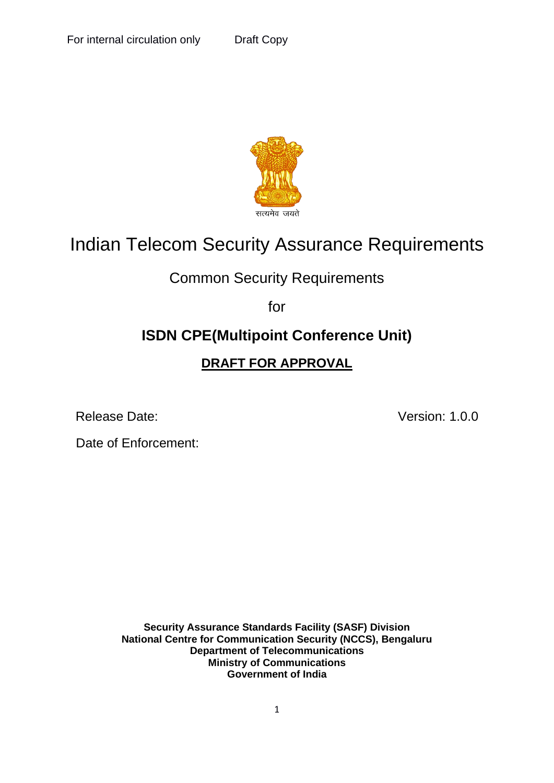

# Indian Telecom Security Assurance Requirements

## Common Security Requirements

for

# **ISDN CPE(Multipoint Conference Unit)**

## **DRAFT FOR APPROVAL**

Release Date: Version: 1.0.0

Date of Enforcement:

**Security Assurance Standards Facility (SASF) Division National Centre for Communication Security (NCCS), Bengaluru Department of Telecommunications Ministry of Communications Government of India**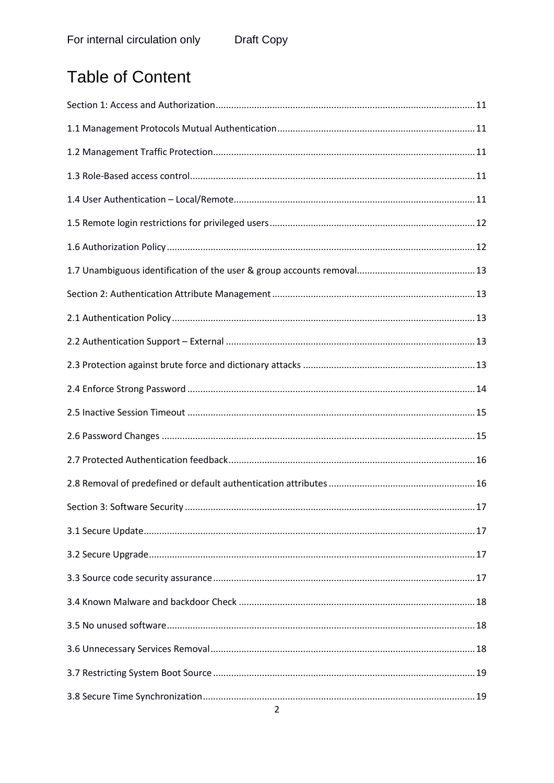# **Table of Content**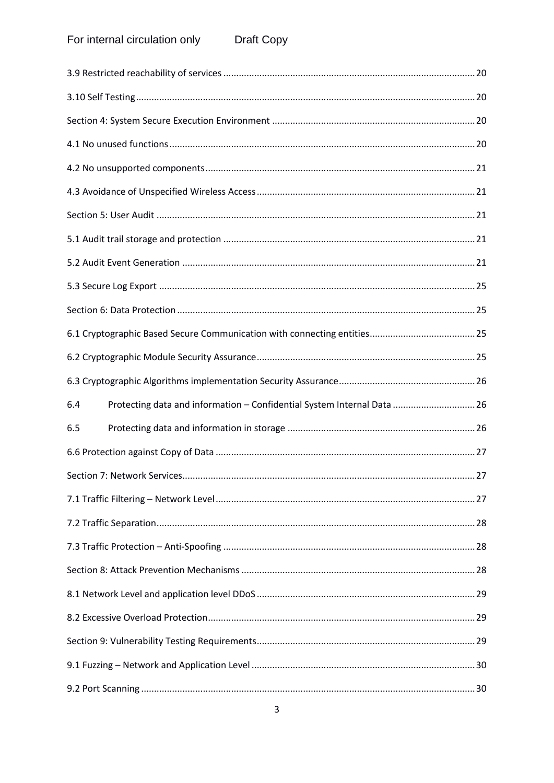| Protecting data and information - Confidential System Internal Data  26<br>6.4 |
|--------------------------------------------------------------------------------|
| 6.5                                                                            |
|                                                                                |
|                                                                                |
|                                                                                |
|                                                                                |
|                                                                                |
|                                                                                |
|                                                                                |
|                                                                                |
|                                                                                |
|                                                                                |
|                                                                                |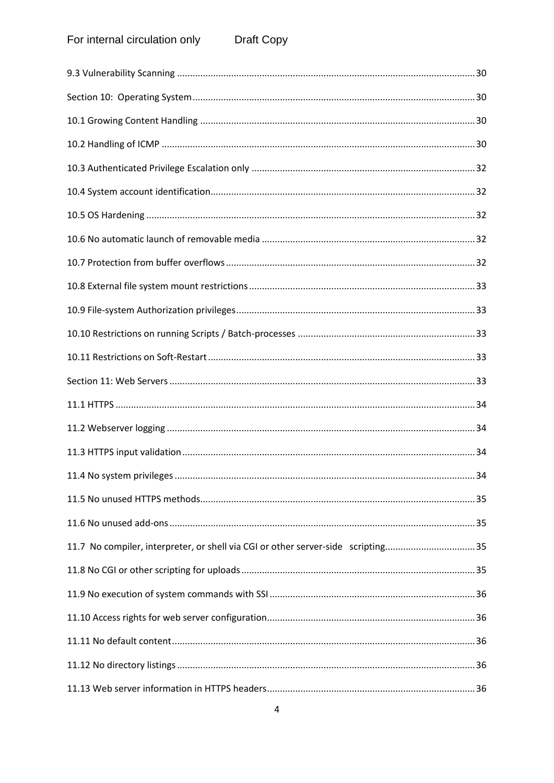#### For internal circulation only Draft Copy

| 11.7 No compiler, interpreter, or shell via CGI or other server-side scripting35 |  |
|----------------------------------------------------------------------------------|--|
|                                                                                  |  |
|                                                                                  |  |
|                                                                                  |  |
|                                                                                  |  |
|                                                                                  |  |
|                                                                                  |  |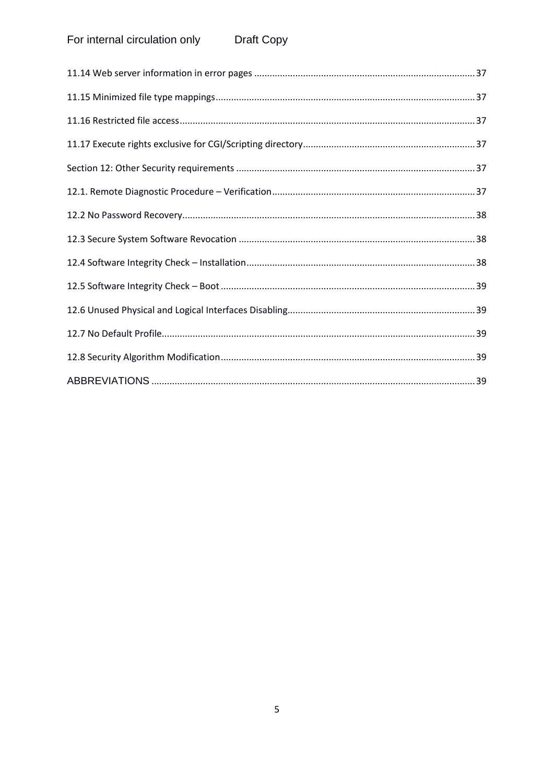#### For internal circulation only Draft Copy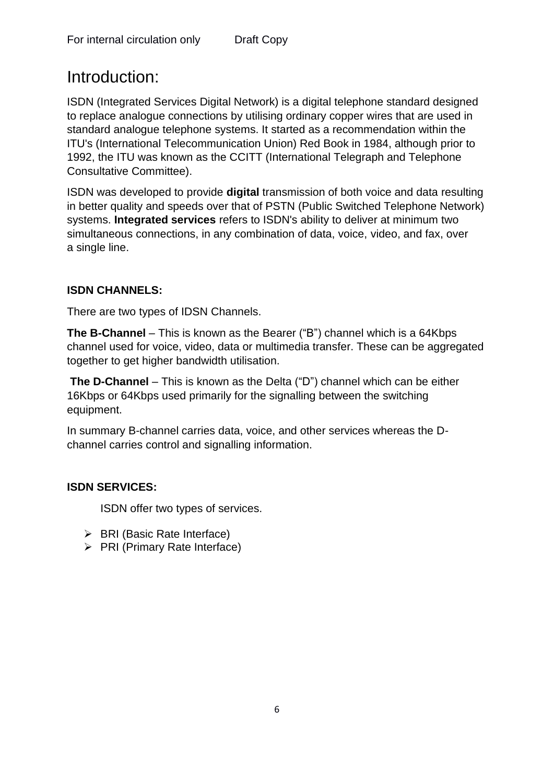# Introduction:

ISDN (Integrated Services Digital Network) is a digital telephone standard designed to replace analogue connections by utilising ordinary copper wires that are used in standard analogue telephone systems. It started as a recommendation within the ITU's (International Telecommunication Union) Red Book in 1984, although prior to 1992, the ITU was known as the CCITT (International Telegraph and Telephone Consultative Committee).

ISDN was developed to provide **digital** transmission of both voice and data resulting in better quality and speeds over that of PSTN (Public Switched Telephone Network) systems. **Integrated services** refers to ISDN's ability to deliver at minimum two simultaneous connections, in any combination of data, voice, [video,](https://en.wikipedia.org/wiki/Videotelephony) and [fax,](https://en.wikipedia.org/wiki/Fax) over a [single line.](https://en.wikipedia.org/wiki/Local_loop)

#### **ISDN CHANNELS:**

There are two types of IDSN Channels.

**The B-Channel** – This is known as the Bearer ("B") channel which is a 64Kbps channel used for voice, video, data or multimedia transfer. These can be aggregated together to get higher bandwidth utilisation.

**The D-Channel** – This is known as the Delta ("D") channel which can be either 16Kbps or 64Kbps used primarily for the signalling between the switching equipment.

In summary B-channel carries data, voice, and other services whereas the Dchannel carries control and signalling information.

#### **ISDN SERVICES:**

ISDN offer two types of services.

- ➢ BRI (Basic Rate Interface)
- ➢ PRI (Primary Rate Interface)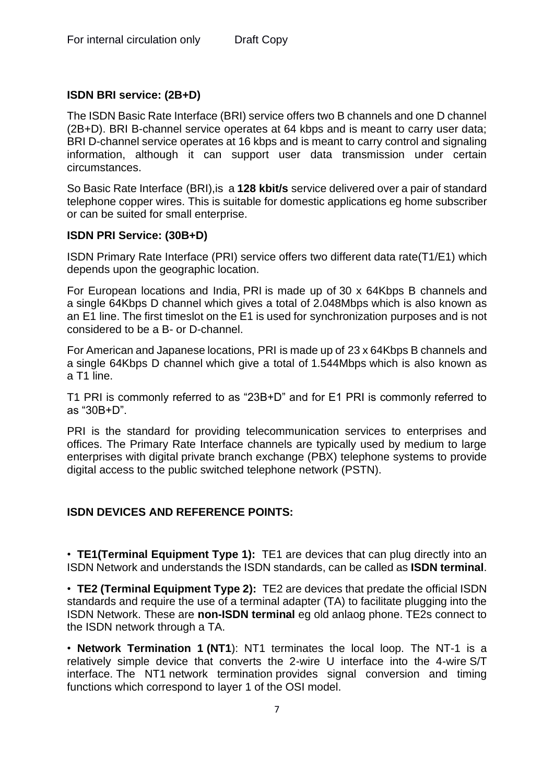#### **ISDN BRI service: (2B+D)**

The ISDN Basic Rate Interface (BRI) service offers two B channels and one D channel (2B+D). BRI B-channel service operates at 64 kbps and is meant to carry user data; BRI D-channel service operates at 16 kbps and is meant to carry control and signaling information, although it can support user data transmission under certain circumstances.

So [Basic Rate Interface](https://en.wikipedia.org/wiki/Basic_Rate_Interface) (BRI),is a **128 [kbit/s](https://en.wikipedia.org/wiki/Kilobits_per_second)** service delivered over a pair of standard telephone copper wires. This is suitable for domestic applications eg home subscriber or can be suited for small enterprise.

#### **ISDN PRI Service: (30B+D)**

ISDN Primary Rate Interface (PRI) service offers two different data rate(T1/E1) which depends upon the geographic location.

For European locations and India, PRI is made up of 30 x 64Kbps B channels and a single 64Kbps D channel which gives a total of 2.048Mbps which is also known as an E1 line. The first timeslot on the E1 is used for [synchronization](https://en.wikipedia.org/wiki/Frame_synchronization) purposes and is not considered to be a B- or D-channel.

For American and Japanese locations, PRI is made up of 23 x 64Kbps B channels and a single 64Kbps D channel which give a total of 1.544Mbps which is also known as a T1 line.

T1 PRI is commonly referred to as "23B+D" and for E1 PRI is commonly referred to as "30B+D".

PRI is the standard for providing telecommunication services to enterprises and offices. The Primary Rate Interface channels are typically used by medium to large enterprises with digital [private branch exchange](https://en.wikipedia.org/wiki/Private_branch_exchange) (PBX) telephone systems to provide digital access to the [public switched telephone network](https://en.wikipedia.org/wiki/Public_switched_telephone_network) (PSTN).

#### **ISDN DEVICES AND REFERENCE POINTS:**

• **TE1(Terminal Equipment Type 1):** TE1 are devices that can plug directly into an ISDN Network and understands the ISDN standards, can be called as **ISDN terminal**.

• **TE2 (Terminal Equipment Type 2):** TE2 are devices that predate the official ISDN standards and require the use of a terminal adapter (TA) to facilitate plugging into the ISDN Network. These are **non-ISDN terminal** eg old anlaog phone. TE2s connect to the ISDN network through a TA.

• **Network Termination 1 (NT1**): NT1 terminates the local loop. The NT-1 is a relatively simple device that converts the 2-wire U interface into the 4-wire S/T interface. The NT1 [network termination](https://en.wikipedia.org/wiki/Network_termination) provides signal conversion and timing functions which correspond to [layer 1](https://en.wikipedia.org/wiki/Layer_1) of the [OSI model.](https://en.wikipedia.org/wiki/OSI_model)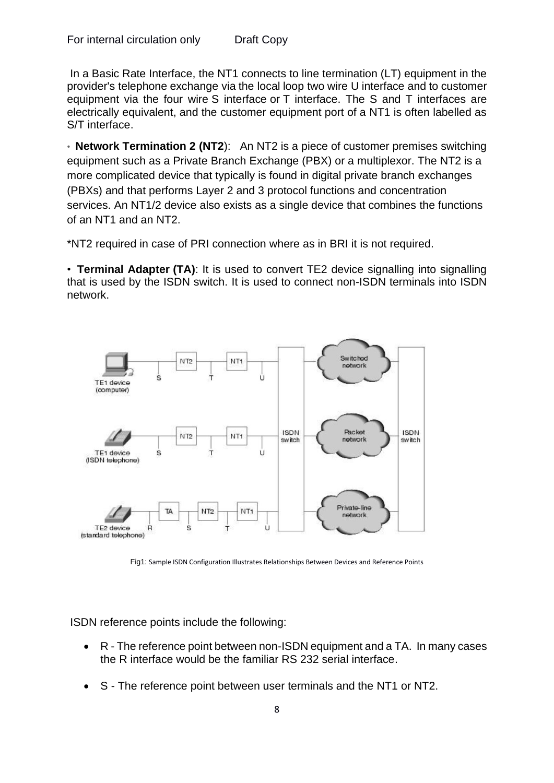In a [Basic Rate Interface,](https://en.wikipedia.org/wiki/Basic_Rate_Interface) the NT1 connects to line termination (LT) equipment in the provider's [telephone exchange](https://en.wikipedia.org/wiki/Telephone_exchange) via the [local loop](https://en.wikipedia.org/wiki/Local_loop) two wire [U interface](https://en.wikipedia.org/wiki/U_interface) and to customer equipment via the four wire [S interface](https://en.wikipedia.org/wiki/S_interface) or [T interface.](https://en.wikipedia.org/wiki/T_interface) The S and T interfaces are electrically equivalent, and the customer equipment port of a NT1 is often labelled as S/T interface.

• **Network Termination 2 (NT2**): An NT2 is a piece of customer premises switching equipment such as a Private Branch Exchange (PBX) or a multiplexor. The NT2 is a more complicated device that typically is found in digital private branch exchanges (PBXs) and that performs Layer 2 and 3 protocol functions and concentration services. An NT1/2 device also exists as a single device that combines the functions of an NT1 and an NT2.

\*NT2 required in case of PRI connection where as in BRI it is not required.

• **Terminal Adapter (TA)**: It is used to convert TE2 device signalling into signalling that is used by the ISDN switch. It is used to connect non-ISDN terminals into ISDN network.



Fig1: Sample ISDN Configuration Illustrates Relationships Between Devices and Reference Points

ISDN reference points include the following:

- R The reference point between non-ISDN equipment and a TA. In many cases the R interface would be the familiar RS 232 serial interface.
- S The reference point between user terminals and the NT1 or NT2.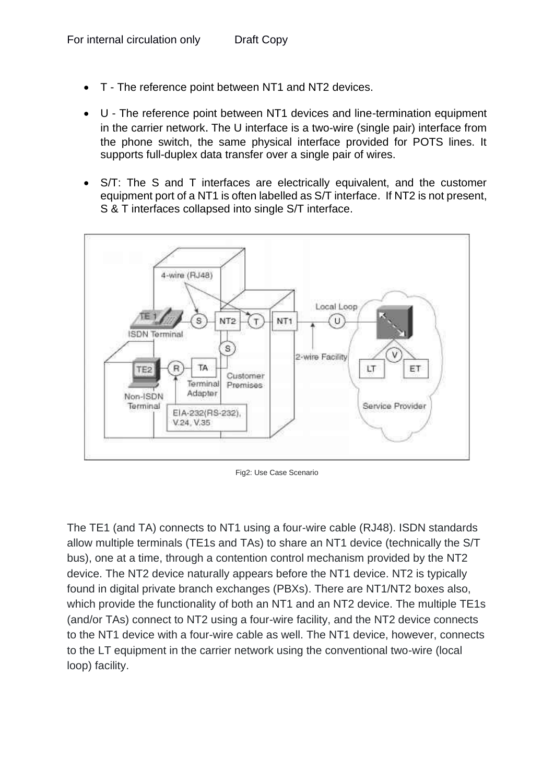- T The reference point between NT1 and NT2 devices.
- U The reference point between NT1 devices and line-termination equipment in the carrier network. The U interface is a two-wire (single pair) interface from the phone switch, the same physical interface provided for POTS lines. It supports full-duplex data transfer over a single pair of wires.
- S/T: The S and T interfaces are electrically equivalent, and the customer equipment port of a NT1 is often labelled as S/T interface. If NT2 is not present, S & T interfaces collapsed into single S/T interface.



Fig2: Use Case Scenario

The TE1 (and TA) connects to NT1 using a four-wire cable (RJ48). ISDN standards allow multiple terminals (TE1s and TAs) to share an NT1 device (technically the S/T bus), one at a time, through a contention control mechanism provided by the NT2 device. The NT2 device naturally appears before the NT1 device. NT2 is typically found in digital private branch exchanges (PBXs). There are NT1/NT2 boxes also, which provide the functionality of both an NT1 and an NT2 device. The multiple TE1s (and/or TAs) connect to NT2 using a four-wire facility, and the NT2 device connects to the NT1 device with a four-wire cable as well. The NT1 device, however, connects to the LT equipment in the carrier network using the conventional two-wire (local loop) facility.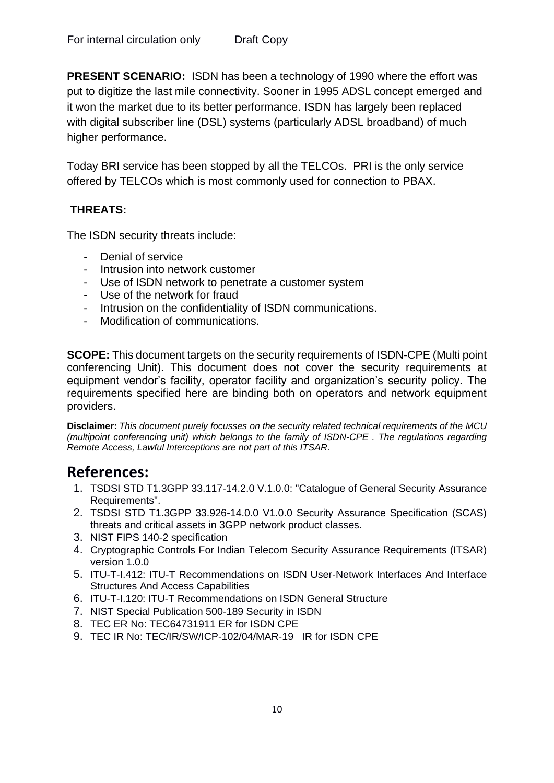**PRESENT SCENARIO:** ISDN has been a technology of 1990 where the effort was put to digitize the last mile connectivity. Sooner in 1995 ADSL concept emerged and it won the market due to its better performance. ISDN has largely been replaced with [digital subscriber line](https://en.wikipedia.org/wiki/Digital_subscriber_line) (DSL) systems (particularly ADSL broadband) of much higher performance.

Today BRI service has been stopped by all the TELCOs. PRI is the only service offered by TELCOs which is most commonly used for connection to PBAX.

#### **THREATS:**

The ISDN security threats include:

- Denial of service
- Intrusion into network customer
- Use of ISDN network to penetrate a customer system
- Use of the network for fraud
- Intrusion on the confidentiality of ISDN communications.
- Modification of communications.

**SCOPE:** This document targets on the security requirements of ISDN-CPE (Multi point conferencing Unit). This document does not cover the security requirements at equipment vendor's facility, operator facility and organization's security policy. The requirements specified here are binding both on operators and network equipment providers.

**Disclaimer:** *This document purely focusses on the security related technical requirements of the MCU (multipoint conferencing unit) which belongs to the family of ISDN-CPE . The regulations regarding Remote Access, Lawful Interceptions are not part of this ITSAR.*

## **References:**

- 1. TSDSI STD T1.3GPP 33.117-14.2.0 V.1.0.0: "Catalogue of General Security Assurance Requirements".
- 2. TSDSI STD T1.3GPP 33.926-14.0.0 V1.0.0 Security Assurance Specification (SCAS) threats and critical assets in 3GPP network product classes.
- 3. NIST FIPS 140-2 specification
- 4. Cryptographic Controls For Indian Telecom Security Assurance Requirements (ITSAR) version 1.0.0
- 5. ITU-T-I.412: ITU-T Recommendations on ISDN User-Network Interfaces And Interface Structures And Access Capabilities
- 6. ITU-T-I.120: ITU-T Recommendations on ISDN General Structure
- 7. NIST Special Publication 500-189 Security in ISDN
- 8. TEC ER No: TEC64731911 ER for ISDN CPE
- 9. TEC IR No: TEC/IR/SW/ICP-102/04/MAR-19 IR for ISDN CPE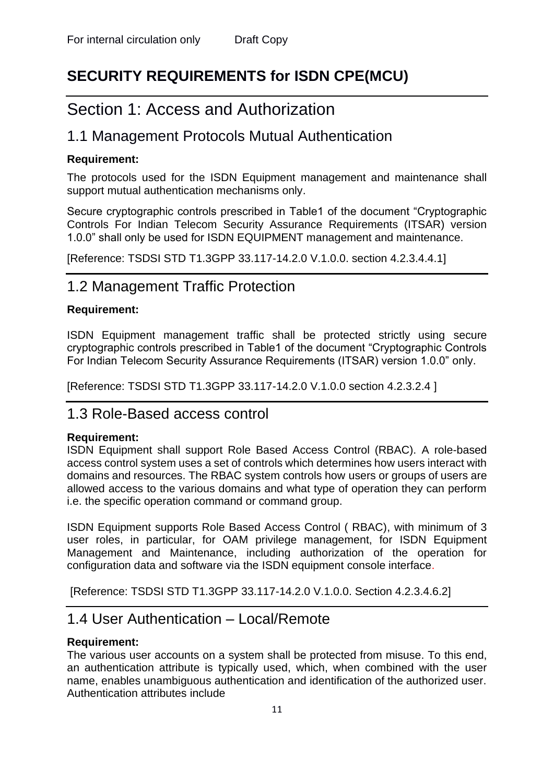# **SECURITY REQUIREMENTS for ISDN CPE(MCU)**

# <span id="page-11-0"></span>Section 1: Access and Authorization

## <span id="page-11-1"></span>1.1 Management Protocols Mutual Authentication

#### **Requirement:**

The protocols used for the ISDN Equipment management and maintenance shall support mutual authentication mechanisms only.

Secure cryptographic controls prescribed in Table1 of the document "Cryptographic Controls For Indian Telecom Security Assurance Requirements (ITSAR) version 1.0.0" shall only be used for ISDN EQUIPMENT management and maintenance.

[Reference: TSDSI STD T1.3GPP 33.117-14.2.0 V.1.0.0. section 4.2.3.4.4.1]

## <span id="page-11-2"></span>1.2 Management Traffic Protection

#### **Requirement:**

ISDN Equipment management traffic shall be protected strictly using secure cryptographic controls prescribed in Table1 of the document "Cryptographic Controls For Indian Telecom Security Assurance Requirements (ITSAR) version 1.0.0" only.

<span id="page-11-3"></span>[Reference: TSDSI STD T1.3GPP 33.117-14.2.0 V.1.0.0 section 4.2.3.2.4 ]

## 1.3 Role-Based access control

#### **Requirement:**

ISDN Equipment shall support Role Based Access Control (RBAC). A role-based access control system uses a set of controls which determines how users interact with domains and resources. The RBAC system controls how users or groups of users are allowed access to the various domains and what type of operation they can perform i.e. the specific operation command or command group.

ISDN Equipment supports Role Based Access Control ( RBAC), with minimum of 3 user roles, in particular, for OAM privilege management, for ISDN Equipment Management and Maintenance, including authorization of the operation for configuration data and software via the ISDN equipment console interface.

<span id="page-11-4"></span>[Reference: TSDSI STD T1.3GPP 33.117-14.2.0 V.1.0.0. Section 4.2.3.4.6.2]

## 1.4 User Authentication – Local/Remote

#### **Requirement:**

The various user accounts on a system shall be protected from misuse. To this end, an authentication attribute is typically used, which, when combined with the user name, enables unambiguous authentication and identification of the authorized user. Authentication attributes include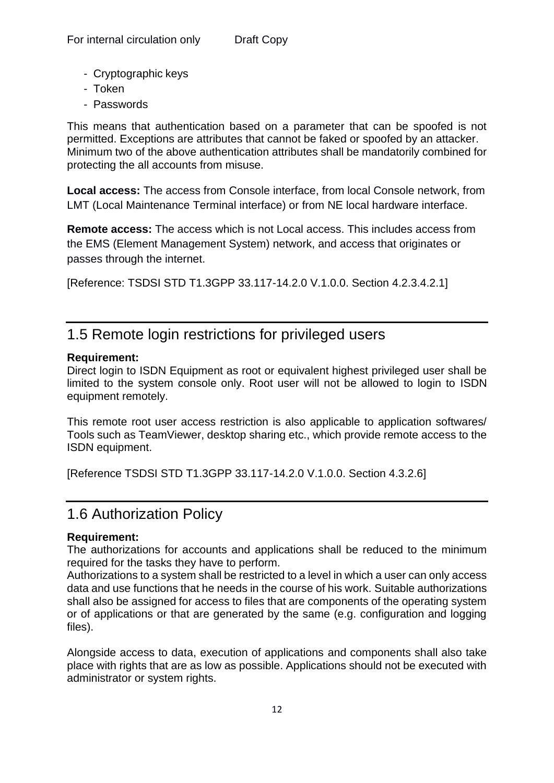- Cryptographic keys
- Token
- Passwords

This means that authentication based on a parameter that can be spoofed is not permitted. Exceptions are attributes that cannot be faked or spoofed by an attacker. Minimum two of the above authentication attributes shall be mandatorily combined for protecting the all accounts from misuse.

**Local access:** The access from Console interface, from local Console network, from LMT (Local Maintenance Terminal interface) or from NE local hardware interface.

**Remote access:** The access which is not Local access. This includes access from the EMS (Element Management System) network, and access that originates or passes through the internet.

[Reference: TSDSI STD T1.3GPP 33.117-14.2.0 V.1.0.0. Section 4.2.3.4.2.1]

## <span id="page-12-0"></span>1.5 Remote login restrictions for privileged users

#### **Requirement:**

Direct login to ISDN Equipment as root or equivalent highest privileged user shall be limited to the system console only. Root user will not be allowed to login to ISDN equipment remotely.

This remote root user access restriction is also applicable to application softwares/ Tools such as TeamViewer, desktop sharing etc., which provide remote access to the ISDN equipment.

[Reference TSDSI STD T1.3GPP 33.117-14.2.0 V.1.0.0. Section 4.3.2.6]

## <span id="page-12-1"></span>1.6 Authorization Policy

#### **Requirement:**

The authorizations for accounts and applications shall be reduced to the minimum required for the tasks they have to perform.

Authorizations to a system shall be restricted to a level in which a user can only access data and use functions that he needs in the course of his work. Suitable authorizations shall also be assigned for access to files that are components of the operating system or of applications or that are generated by the same (e.g. configuration and logging files).

Alongside access to data, execution of applications and components shall also take place with rights that are as low as possible. Applications should not be executed with administrator or system rights.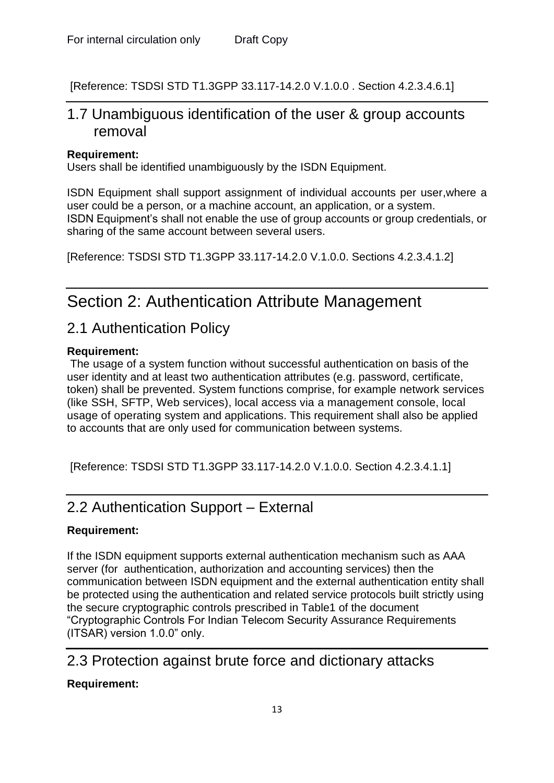<span id="page-13-0"></span>[Reference: TSDSI STD T1.3GPP 33.117-14.2.0 V.1.0.0 . Section 4.2.3.4.6.1]

## 1.7 Unambiguous identification of the user & group accounts removal

#### **Requirement:**

Users shall be identified unambiguously by the ISDN Equipment.

ISDN Equipment shall support assignment of individual accounts per user,where a user could be a person, or a machine account, an application, or a system. ISDN Equipment's shall not enable the use of group accounts or group credentials, or sharing of the same account between several users.

[Reference: TSDSI STD T1.3GPP 33.117-14.2.0 V.1.0.0. Sections 4.2.3.4.1.2]

# <span id="page-13-1"></span>Section 2: Authentication Attribute Management

## <span id="page-13-2"></span>2.1 Authentication Policy

#### **Requirement:**

The usage of a system function without successful authentication on basis of the user identity and at least two authentication attributes (e.g. password, certificate, token) shall be prevented. System functions comprise, for example network services (like SSH, SFTP, Web services), local access via a management console, local usage of operating system and applications. This requirement shall also be applied to accounts that are only used for communication between systems.

[Reference: TSDSI STD T1.3GPP 33.117-14.2.0 V.1.0.0. Section 4.2.3.4.1.1]

## <span id="page-13-3"></span>2.2 Authentication Support – External

#### **Requirement:**

If the ISDN equipment supports external authentication mechanism such as AAA server (for authentication, authorization and accounting services) then the communication between ISDN equipment and the external authentication entity shall be protected using the authentication and related service protocols built strictly using the secure cryptographic controls prescribed in Table1 of the document "Cryptographic Controls For Indian Telecom Security Assurance Requirements (ITSAR) version 1.0.0" only.

## <span id="page-13-4"></span>2.3 Protection against brute force and dictionary attacks

#### **Requirement:**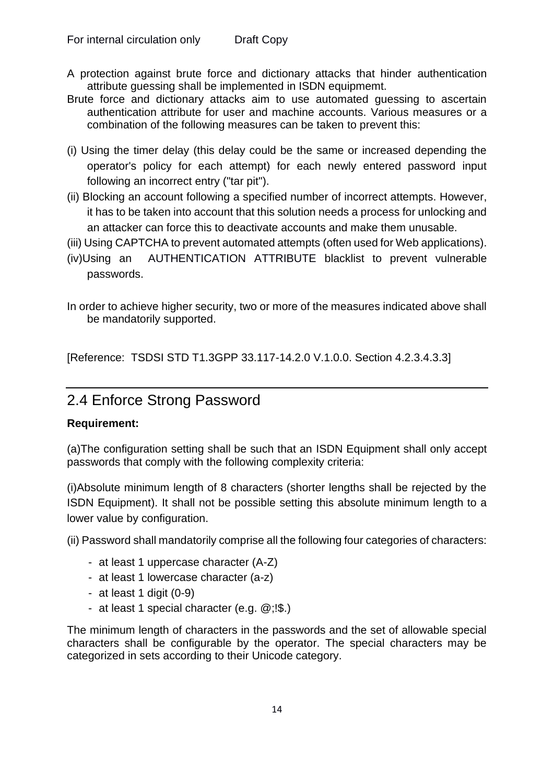- A protection against brute force and dictionary attacks that hinder authentication attribute guessing shall be implemented in ISDN equipmemt.
- Brute force and dictionary attacks aim to use automated guessing to ascertain authentication attribute for user and machine accounts. Various measures or a combination of the following measures can be taken to prevent this:
- (i) Using the timer delay (this delay could be the same or increased depending the operator's policy for each attempt) for each newly entered password input following an incorrect entry ("tar pit").
- (ii) Blocking an account following a specified number of incorrect attempts. However, it has to be taken into account that this solution needs a process for unlocking and an attacker can force this to deactivate accounts and make them unusable.
- (iii) Using CAPTCHA to prevent automated attempts (often used for Web applications).
- (iv)Using an AUTHENTICATION ATTRIBUTE blacklist to prevent vulnerable passwords.
- In order to achieve higher security, two or more of the measures indicated above shall be mandatorily supported.

[Reference: TSDSI STD T1.3GPP 33.117-14.2.0 V.1.0.0. Section 4.2.3.4.3.3]

## <span id="page-14-0"></span>2.4 Enforce Strong Password

#### **Requirement:**

(a)The configuration setting shall be such that an ISDN Equipment shall only accept passwords that comply with the following complexity criteria:

(i)Absolute minimum length of 8 characters (shorter lengths shall be rejected by the ISDN Equipment). It shall not be possible setting this absolute minimum length to a lower value by configuration.

(ii) Password shall mandatorily comprise all the following four categories of characters:

- at least 1 uppercase character (A-Z)
- at least 1 lowercase character (a-z)
- at least 1 digit (0-9)
- at least 1 special character (e.g. @;!\$.)

The minimum length of characters in the passwords and the set of allowable special characters shall be configurable by the operator. The special characters may be categorized in sets according to their Unicode category.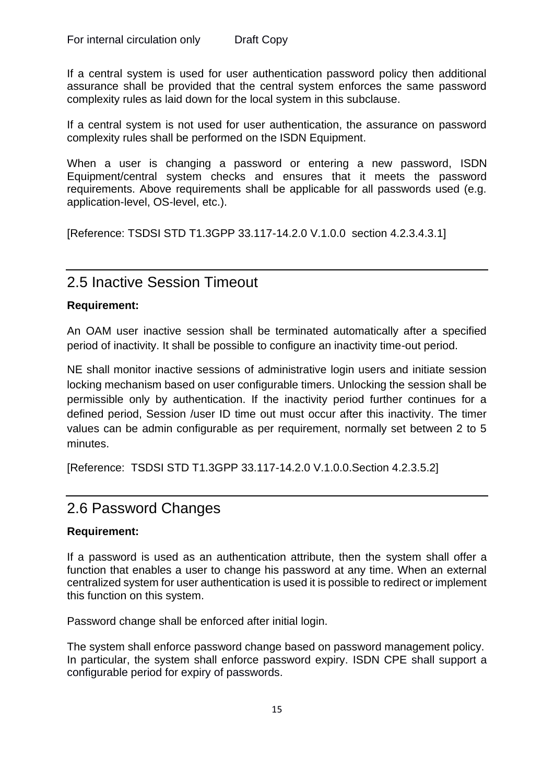If a central system is used for user authentication password policy then additional assurance shall be provided that the central system enforces the same password complexity rules as laid down for the local system in this subclause.

If a central system is not used for user authentication, the assurance on password complexity rules shall be performed on the ISDN Equipment.

When a user is changing a password or entering a new password, ISDN Equipment/central system checks and ensures that it meets the password requirements. Above requirements shall be applicable for all passwords used (e.g. application-level, OS-level, etc.).

[Reference: TSDSI STD T1.3GPP 33.117-14.2.0 V.1.0.0 section 4.2.3.4.3.1]

## <span id="page-15-0"></span>2.5 Inactive Session Timeout

#### **Requirement:**

An OAM user inactive session shall be terminated automatically after a specified period of inactivity. It shall be possible to configure an inactivity time-out period.

NE shall monitor inactive sessions of administrative login users and initiate session locking mechanism based on user configurable timers. Unlocking the session shall be permissible only by authentication. If the inactivity period further continues for a defined period, Session /user ID time out must occur after this inactivity. The timer values can be admin configurable as per requirement, normally set between 2 to 5 minutes.

[Reference: TSDSI STD T1.3GPP 33.117-14.2.0 V.1.0.0.Section 4.2.3.5.2]

### <span id="page-15-1"></span>2.6 Password Changes

#### **Requirement:**

If a password is used as an authentication attribute, then the system shall offer a function that enables a user to change his password at any time. When an external centralized system for user authentication is used it is possible to redirect or implement this function on this system.

Password change shall be enforced after initial login.

The system shall enforce password change based on password management policy. In particular, the system shall enforce password expiry. ISDN CPE shall support a configurable period for expiry of passwords.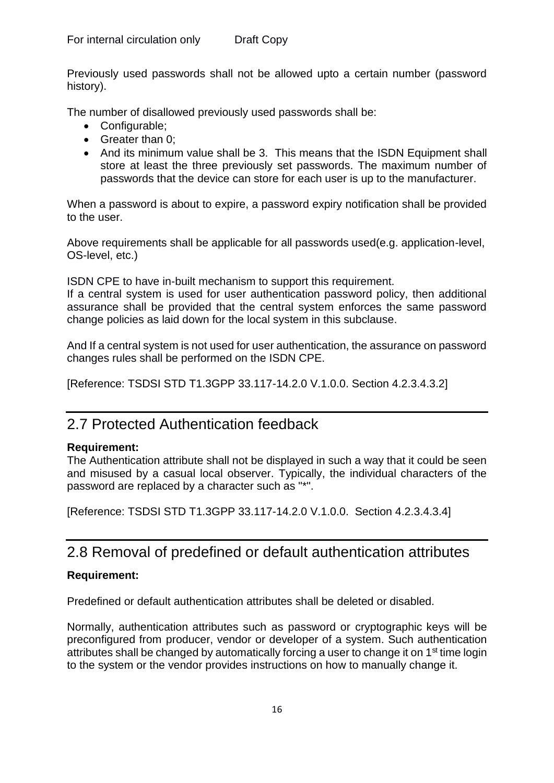Previously used passwords shall not be allowed upto a certain number (password history).

The number of disallowed previously used passwords shall be:

- Configurable;
- Greater than 0:
- And its minimum value shall be 3. This means that the ISDN Equipment shall store at least the three previously set passwords. The maximum number of passwords that the device can store for each user is up to the manufacturer.

When a password is about to expire, a password expiry notification shall be provided to the user.

Above requirements shall be applicable for all passwords used(e.g. application-level, OS-level, etc.)

ISDN CPE to have in-built mechanism to support this requirement.

If a central system is used for user authentication password policy, then additional assurance shall be provided that the central system enforces the same password change policies as laid down for the local system in this subclause.

And If a central system is not used for user authentication, the assurance on password changes rules shall be performed on the ISDN CPE.

[Reference: TSDSI STD T1.3GPP 33.117-14.2.0 V.1.0.0. Section 4.2.3.4.3.2]

## <span id="page-16-0"></span>2.7 Protected Authentication feedback

#### **Requirement:**

The Authentication attribute shall not be displayed in such a way that it could be seen and misused by a casual local observer. Typically, the individual characters of the password are replaced by a character such as "\*".

[Reference: TSDSI STD T1.3GPP 33.117-14.2.0 V.1.0.0. Section 4.2.3.4.3.4]

## <span id="page-16-1"></span>2.8 Removal of predefined or default authentication attributes

#### **Requirement:**

Predefined or default authentication attributes shall be deleted or disabled.

Normally, authentication attributes such as password or cryptographic keys will be preconfigured from producer, vendor or developer of a system. Such authentication attributes shall be changed by automatically forcing a user to change it on 1<sup>st</sup> time login to the system or the vendor provides instructions on how to manually change it.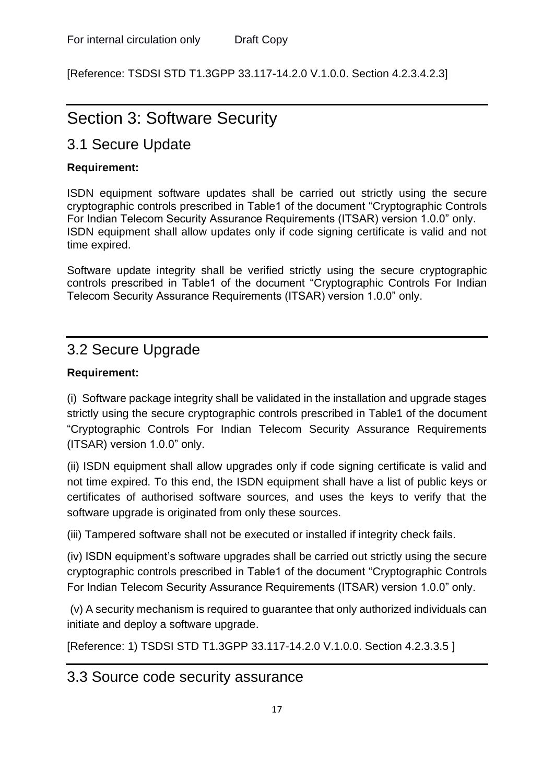[Reference: TSDSI STD T1.3GPP 33.117-14.2.0 V.1.0.0. Section 4.2.3.4.2.3]

# <span id="page-17-0"></span>Section 3: Software Security

## <span id="page-17-1"></span>3.1 Secure Update

#### **Requirement:**

ISDN equipment software updates shall be carried out strictly using the secure cryptographic controls prescribed in Table1 of the document "Cryptographic Controls For Indian Telecom Security Assurance Requirements (ITSAR) version 1.0.0" only. ISDN equipment shall allow updates only if code signing certificate is valid and not time expired.

Software update integrity shall be verified strictly using the secure cryptographic controls prescribed in Table1 of the document "Cryptographic Controls For Indian Telecom Security Assurance Requirements (ITSAR) version 1.0.0" only.

## <span id="page-17-2"></span>3.2 Secure Upgrade

#### **Requirement:**

(i) Software package integrity shall be validated in the installation and upgrade stages strictly using the secure cryptographic controls prescribed in Table1 of the document "Cryptographic Controls For Indian Telecom Security Assurance Requirements (ITSAR) version 1.0.0" only.

(ii) ISDN equipment shall allow upgrades only if code signing certificate is valid and not time expired. To this end, the ISDN equipment shall have a list of public keys or certificates of authorised software sources, and uses the keys to verify that the software upgrade is originated from only these sources.

(iii) Tampered software shall not be executed or installed if integrity check fails.

(iv) ISDN equipment's software upgrades shall be carried out strictly using the secure cryptographic controls prescribed in Table1 of the document "Cryptographic Controls For Indian Telecom Security Assurance Requirements (ITSAR) version 1.0.0" only.

(v) A security mechanism is required to guarantee that only authorized individuals can initiate and deploy a software upgrade.

[Reference: 1) TSDSI STD T1.3GPP 33.117-14.2.0 V.1.0.0. Section 4.2.3.3.5 ]

## <span id="page-17-3"></span>3.3 Source code security assurance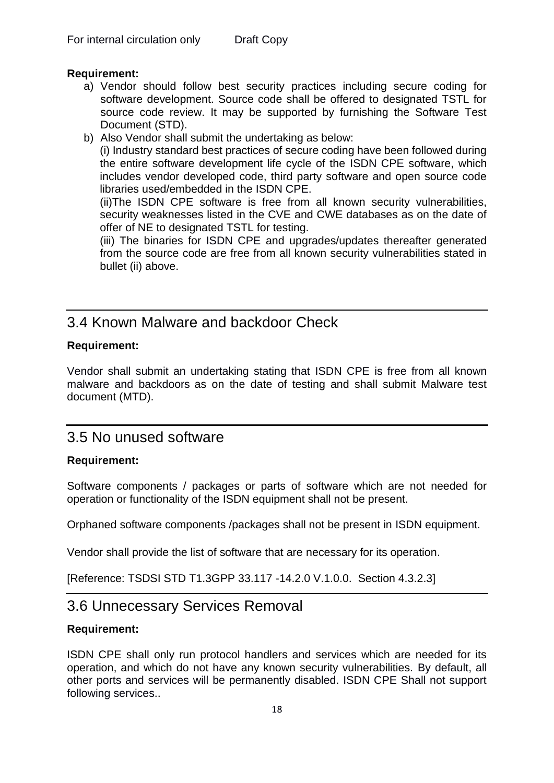#### **Requirement:**

- a) Vendor should follow best security practices including secure coding for software development. Source code shall be offered to designated TSTL for source code review. It may be supported by furnishing the Software Test Document (STD).
- b) Also Vendor shall submit the undertaking as below:

(i) Industry standard best practices of secure coding have been followed during the entire software development life cycle of the ISDN CPE software, which includes vendor developed code, third party software and open source code libraries used/embedded in the ISDN CPE.

(ii)The ISDN CPE software is free from all known security vulnerabilities, security weaknesses listed in the CVE and CWE databases as on the date of offer of NE to designated TSTL for testing.

(iii) The binaries for ISDN CPE and upgrades/updates thereafter generated from the source code are free from all known security vulnerabilities stated in bullet (ii) above.

## <span id="page-18-0"></span>3.4 Known Malware and backdoor Check

#### **Requirement:**

Vendor shall submit an undertaking stating that ISDN CPE is free from all known malware and backdoors as on the date of testing and shall submit Malware test document (MTD).

### <span id="page-18-1"></span>3.5 No unused software

#### **Requirement:**

Software components / packages or parts of software which are not needed for operation or functionality of the ISDN equipment shall not be present.

Orphaned software components /packages shall not be present in ISDN equipment.

Vendor shall provide the list of software that are necessary for its operation.

<span id="page-18-2"></span>[Reference: TSDSI STD T1.3GPP 33.117 -14.2.0 V.1.0.0. Section 4.3.2.3]

## 3.6 Unnecessary Services Removal

#### **Requirement:**

ISDN CPE shall only run protocol handlers and services which are needed for its operation, and which do not have any known security vulnerabilities. By default, all other ports and services will be permanently disabled. ISDN CPE Shall not support following services..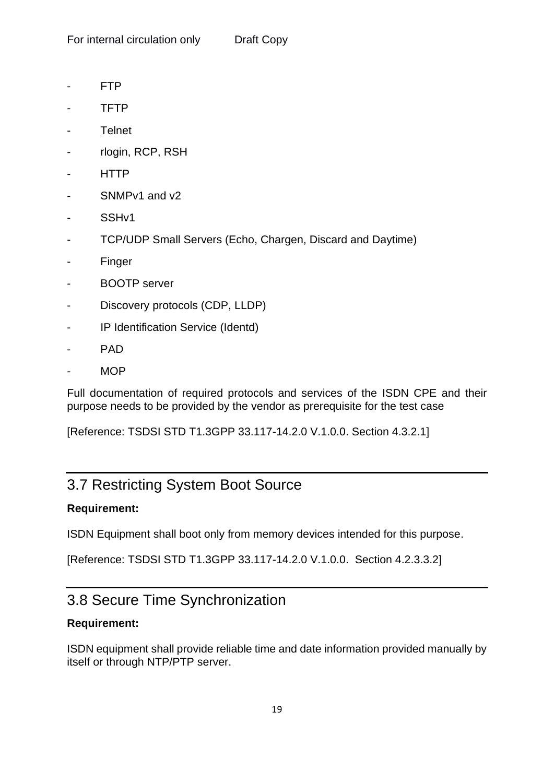- FTP
- TFTP
- Telnet
- rlogin, RCP, RSH
- HTTP
- SNMPv1 and v2
- SSHv1
- TCP/UDP Small Servers (Echo, Chargen, Discard and Daytime)
- **Finger**
- BOOTP server
- Discovery protocols (CDP, LLDP)
- IP Identification Service (Identd)
- PAD
- MOP

Full documentation of required protocols and services of the ISDN CPE and their purpose needs to be provided by the vendor as prerequisite for the test case

[Reference: TSDSI STD T1.3GPP 33.117-14.2.0 V.1.0.0. Section 4.3.2.1]

## <span id="page-19-0"></span>3.7 Restricting System Boot Source

#### **Requirement:**

ISDN Equipment shall boot only from memory devices intended for this purpose.

[Reference: TSDSI STD T1.3GPP 33.117-14.2.0 V.1.0.0. Section 4.2.3.3.2]

## <span id="page-19-1"></span>3.8 Secure Time Synchronization

#### **Requirement:**

ISDN equipment shall provide reliable time and date information provided manually by itself or through NTP/PTP server.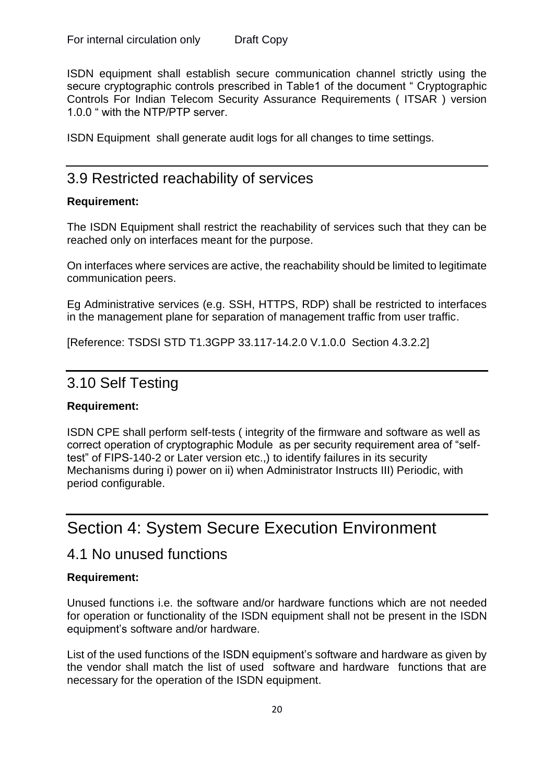ISDN equipment shall establish secure communication channel strictly using the secure cryptographic controls prescribed in Table1 of the document " Cryptographic Controls For Indian Telecom Security Assurance Requirements ( ITSAR ) version 1.0.0 " with the NTP/PTP server.

ISDN Equipment shall generate audit logs for all changes to time settings.

### <span id="page-20-0"></span>3.9 Restricted reachability of services

#### **Requirement:**

The ISDN Equipment shall restrict the reachability of services such that they can be reached only on interfaces meant for the purpose.

On interfaces where services are active, the reachability should be limited to legitimate communication peers.

Eg Administrative services (e.g. SSH, HTTPS, RDP) shall be restricted to interfaces in the management plane for separation of management traffic from user traffic.

[Reference: TSDSI STD T1.3GPP 33.117-14.2.0 V.1.0.0 Section 4.3.2.2]

### <span id="page-20-1"></span>3.10 Self Testing

#### **Requirement:**

ISDN CPE shall perform self-tests ( integrity of the firmware and software as well as correct operation of cryptographic Module as per security requirement area of "selftest" of FIPS-140-2 or Later version etc.,) to identify failures in its security Mechanisms during i) power on ii) when Administrator Instructs III) Periodic, with period configurable.

## <span id="page-20-2"></span>Section 4: System Secure Execution Environment

### <span id="page-20-3"></span>4.1 No unused functions

#### **Requirement:**

Unused functions i.e. the software and/or hardware functions which are not needed for operation or functionality of the ISDN equipment shall not be present in the ISDN equipment's software and/or hardware.

List of the used functions of the ISDN equipment's software and hardware as given by the vendor shall match the list of used software and hardware functions that are necessary for the operation of the ISDN equipment.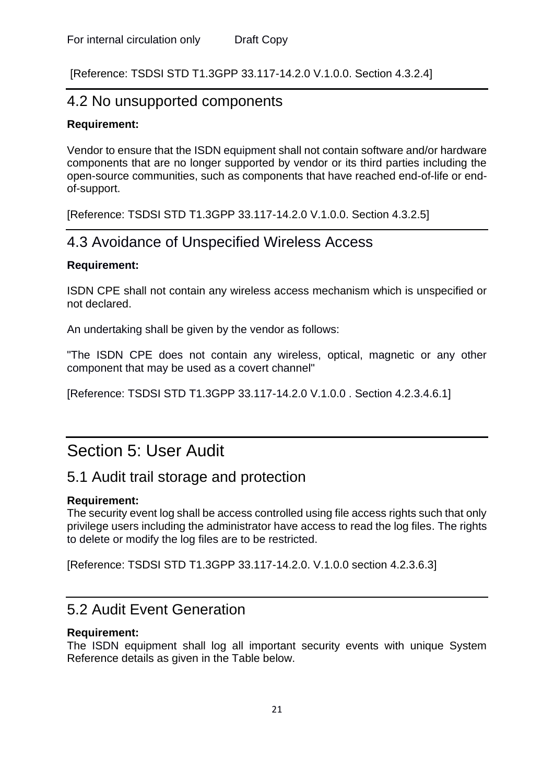<span id="page-21-0"></span>[Reference: TSDSI STD T1.3GPP 33.117-14.2.0 V.1.0.0. Section 4.3.2.4]

### 4.2 No unsupported components

#### **Requirement:**

Vendor to ensure that the ISDN equipment shall not contain software and/or hardware components that are no longer supported by vendor or its third parties including the open-source communities, such as components that have reached end-of-life or endof-support.

<span id="page-21-1"></span>[Reference: TSDSI STD T1.3GPP 33.117-14.2.0 V.1.0.0. Section 4.3.2.5]

## 4.3 Avoidance of Unspecified Wireless Access

#### **Requirement:**

ISDN CPE shall not contain any wireless access mechanism which is unspecified or not declared.

An undertaking shall be given by the vendor as follows:

"The ISDN CPE does not contain any wireless, optical, magnetic or any other component that may be used as a covert channel"

[Reference: TSDSI STD T1.3GPP 33.117-14.2.0 V.1.0.0 . Section 4.2.3.4.6.1]

## <span id="page-21-2"></span>Section 5: User Audit

## <span id="page-21-3"></span>5.1 Audit trail storage and protection

#### **Requirement:**

The security event log shall be access controlled using file access rights such that only privilege users including the administrator have access to read the log files. The rights to delete or modify the log files are to be restricted.

[Reference: TSDSI STD T1.3GPP 33.117-14.2.0. V.1.0.0 section 4.2.3.6.3]

## <span id="page-21-4"></span>5.2 Audit Event Generation

#### **Requirement:**

The ISDN equipment shall log all important security events with unique System Reference details as given in the Table below.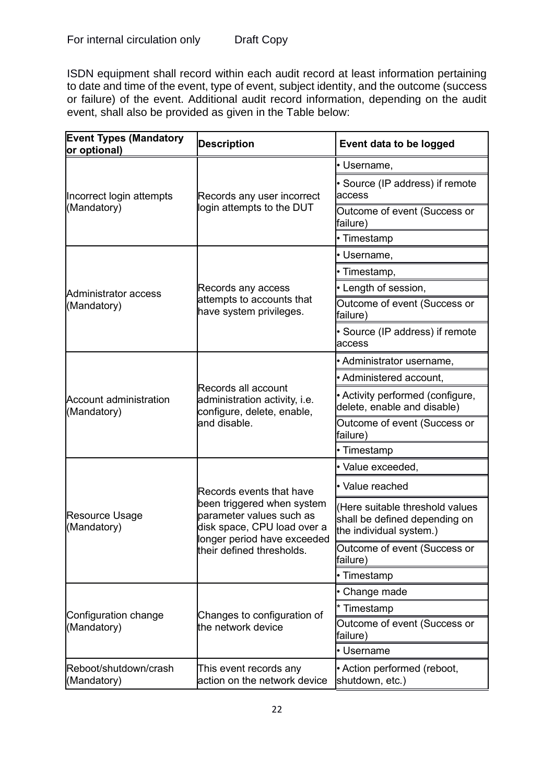ISDN equipment shall record within each audit record at least information pertaining to date and time of the event, type of event, subject identity, and the outcome (success or failure) of the event. Additional audit record information, depending on the audit event, shall also be provided as given in the Table below:

| <b>Event Types (Mandatory</b><br>or optional) | <b>Description</b>                                                                                                   | Event data to be logged                                                                    |
|-----------------------------------------------|----------------------------------------------------------------------------------------------------------------------|--------------------------------------------------------------------------------------------|
|                                               |                                                                                                                      | • Username,                                                                                |
| Incorrect login attempts                      | Records any user incorrect                                                                                           | • Source (IP address) if remote<br>access                                                  |
| (Mandatory)                                   | login attempts to the DUT                                                                                            | Outcome of event (Success or<br>failure)                                                   |
|                                               |                                                                                                                      | • Timestamp                                                                                |
|                                               |                                                                                                                      | • Username,                                                                                |
|                                               |                                                                                                                      | · Timestamp,                                                                               |
| Administrator access                          | Records any access                                                                                                   | • Length of session,                                                                       |
| (Mandatory)                                   | attempts to accounts that<br>have system privileges.                                                                 | Outcome of event (Success or<br>failure)                                                   |
|                                               |                                                                                                                      | • Source (IP address) if remote<br>access                                                  |
|                                               |                                                                                                                      | • Administrator username,                                                                  |
|                                               |                                                                                                                      | • Administered account,                                                                    |
| <b>Account administration</b><br>(Mandatory)  | Records all account<br>administration activity, i.e.<br>configure, delete, enable,                                   | • Activity performed (configure,<br>delete, enable and disable)                            |
|                                               | and disable.                                                                                                         | Outcome of event (Success or<br>failure)                                                   |
|                                               |                                                                                                                      | • Timestamp                                                                                |
| Resource Usage<br>(Mandatory)                 |                                                                                                                      | · Value exceeded,                                                                          |
|                                               | Records events that have                                                                                             | • Value reached                                                                            |
|                                               | been triggered when system<br>parameter values such as<br>disk space, CPU load over a<br>longer period have exceeded | Here suitable threshold values<br>shall be defined depending on<br>the individual system.) |
|                                               | their defined thresholds.                                                                                            | Outcome of event (Success or<br>failure)                                                   |
|                                               |                                                                                                                      | • Timestamp                                                                                |
|                                               |                                                                                                                      | • Change made                                                                              |
| Configuration change<br>(Mandatory)           | Changes to configuration of                                                                                          | * Timestamp                                                                                |
|                                               | the network device                                                                                                   | Outcome of event (Success or<br>failure)                                                   |
|                                               |                                                                                                                      | • Username                                                                                 |
| Reboot/shutdown/crash<br>(Mandatory)          | This event records any<br>action on the network device                                                               | • Action performed (reboot,<br>shutdown, etc.)                                             |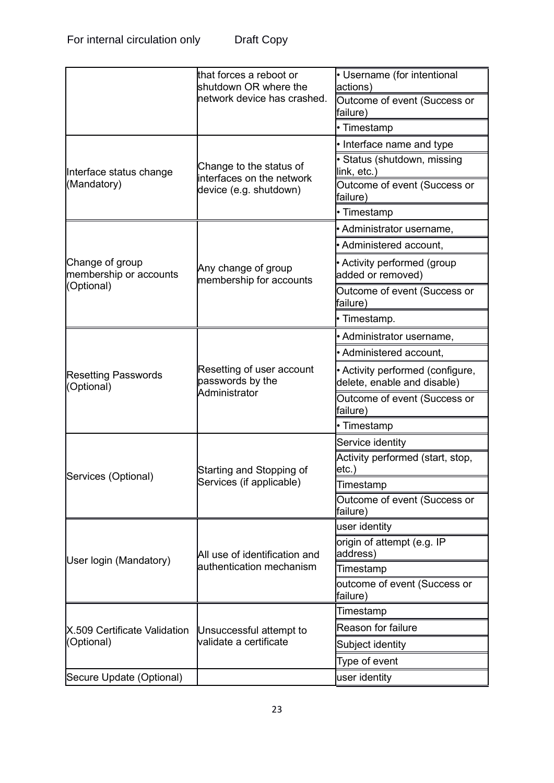|  | Dialt Copy |  |
|--|------------|--|
|  |            |  |
|  |            |  |

|                                           | that forces a reboot or<br>shutdown OR where the     | • Username (for intentional<br>actions)                         |
|-------------------------------------------|------------------------------------------------------|-----------------------------------------------------------------|
|                                           | network device has crashed.                          | Outcome of event (Success or<br>failure)                        |
|                                           |                                                      | • Timestamp                                                     |
|                                           |                                                      | • Interface name and type                                       |
| Interface status change                   | Change to the status of<br>interfaces on the network | • Status (shutdown, missing<br>link, etc.)                      |
| (Mandatory)                               | device (e.g. shutdown)                               | Outcome of event (Success or<br>failure)                        |
|                                           |                                                      | • Timestamp                                                     |
|                                           |                                                      | • Administrator username,                                       |
|                                           |                                                      | • Administered account,                                         |
| Change of group<br>membership or accounts | Any change of group<br>membership for accounts       | • Activity performed (group<br>added or removed)                |
| (Optional)                                |                                                      | Outcome of event (Success or<br>failure)                        |
|                                           |                                                      | • Timestamp.                                                    |
|                                           |                                                      | • Administrator username,                                       |
|                                           |                                                      | · Administered account,                                         |
| <b>Resetting Passwords</b><br>(Optional)  | Resetting of user account<br>passwords by the        | • Activity performed (configure,<br>delete, enable and disable) |
|                                           | Administrator                                        | Outcome of event (Success or<br>failure)                        |
|                                           |                                                      | • Timestamp                                                     |
|                                           |                                                      | Service identity                                                |
| Services (Optional)                       | Starting and Stopping of                             | Activity performed (start, stop,<br>etc.)                       |
|                                           | Services (if applicable)                             | Timestamp                                                       |
|                                           |                                                      | Outcome of event (Success or<br>failure)                        |
|                                           |                                                      | user identity                                                   |
| User login (Mandatory)                    | All use of identification and                        | origin of attempt (e.g. IP<br>address)                          |
|                                           | authentication mechanism                             | Timestamp                                                       |
|                                           |                                                      | outcome of event (Success or<br>failure)                        |
|                                           |                                                      | Timestamp                                                       |
| X.509 Certificate Validation              | Unsuccessful attempt to                              | Reason for failure                                              |
| (Optional)                                | validate a certificate                               | Subject identity                                                |
|                                           |                                                      | Type of event                                                   |
| Secure Update (Optional)                  |                                                      | user identity                                                   |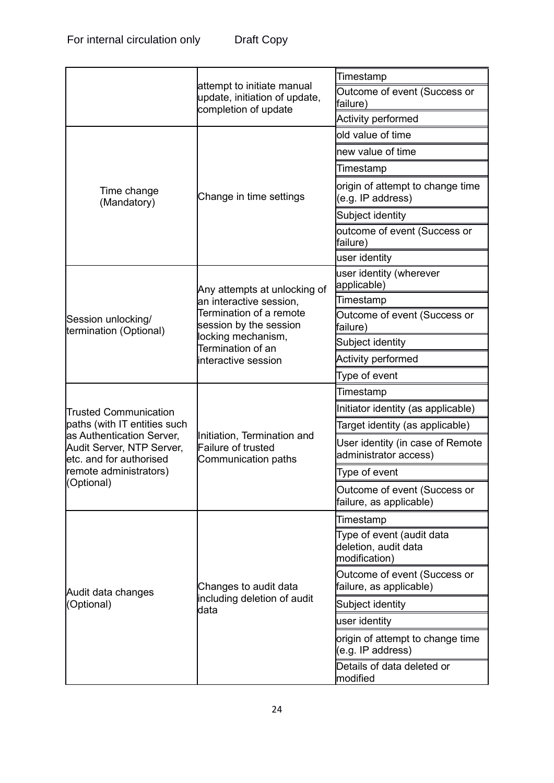|                                                           |                                                                                                        | Timestamp                                                          |
|-----------------------------------------------------------|--------------------------------------------------------------------------------------------------------|--------------------------------------------------------------------|
|                                                           | attempt to initiate manual<br>update, initiation of update,<br>completion of update                    | Outcome of event (Success or<br>failure)                           |
|                                                           |                                                                                                        | Activity performed                                                 |
|                                                           |                                                                                                        | old value of time                                                  |
|                                                           |                                                                                                        | new value of time                                                  |
|                                                           |                                                                                                        | Timestamp                                                          |
| Time change<br>(Mandatory)                                | Change in time settings                                                                                | origin of attempt to change time<br>(e.g. IP address)              |
|                                                           |                                                                                                        | Subject identity                                                   |
|                                                           |                                                                                                        | outcome of event (Success or<br>failure)                           |
|                                                           |                                                                                                        | user identity                                                      |
|                                                           | Any attempts at unlocking of                                                                           | user identity (wherever<br>applicable)                             |
|                                                           | an interactive session,                                                                                | Timestamp                                                          |
| Session unlocking/<br>termination (Optional)              | Termination of a remote<br>session by the session                                                      | Outcome of event (Success or<br>failure)                           |
|                                                           | locking mechanism,<br>Termination of an                                                                | Subject identity                                                   |
|                                                           | interactive session<br>Initiation, Termination and<br>Failure of trusted<br><b>Communication paths</b> | <b>Activity performed</b>                                          |
|                                                           |                                                                                                        | Type of event                                                      |
|                                                           |                                                                                                        | Timestamp                                                          |
| <b>Trusted Communication</b>                              |                                                                                                        | Initiator identity (as applicable)                                 |
| paths (with IT entities such<br>as Authentication Server, |                                                                                                        | Target identity (as applicable)                                    |
| Audit Server, NTP Server,<br>etc. and for authorised      |                                                                                                        | User identity (in case of Remote<br>administrator access)          |
| remote administrators)                                    |                                                                                                        | Type of event                                                      |
| (Optional)                                                |                                                                                                        | Outcome of event (Success or<br>failure, as applicable)            |
|                                                           |                                                                                                        | Timestamp                                                          |
| Audit data changes<br>(Optional)                          | Changes to audit data                                                                                  | Type of event (audit data<br>deletion, audit data<br>modification) |
|                                                           |                                                                                                        | Outcome of event (Success or<br>failure, as applicable)            |
|                                                           | including deletion of audit<br>data                                                                    | Subject identity                                                   |
|                                                           |                                                                                                        | user identity                                                      |
|                                                           |                                                                                                        | origin of attempt to change time<br>(e.g. IP address)              |
|                                                           |                                                                                                        | Details of data deleted or<br>modified                             |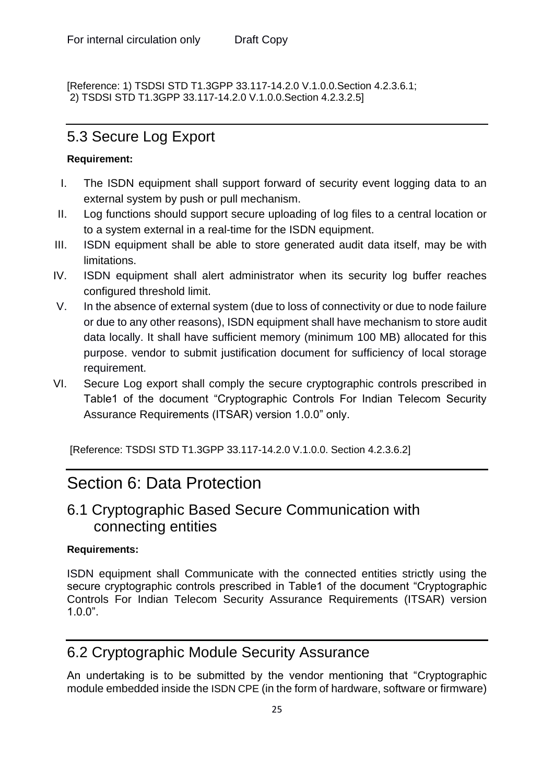[Reference: 1) TSDSI STD T1.3GPP 33.117-14.2.0 V.1.0.0.Section 4.2.3.6.1; 2) TSDSI STD T1.3GPP 33.117-14.2.0 V.1.0.0.Section 4.2.3.2.5]

## <span id="page-25-0"></span>5.3 Secure Log Export

#### **Requirement:**

- I. The ISDN equipment shall support forward of security event logging data to an external system by push or pull mechanism.
- II. Log functions should support secure uploading of log files to a central location or to a system external in a real-time for the ISDN equipment.
- III. ISDN equipment shall be able to store generated audit data itself, may be with limitations.
- IV. ISDN equipment shall alert administrator when its security log buffer reaches configured threshold limit.
- V. In the absence of external system (due to loss of connectivity or due to node failure or due to any other reasons), ISDN equipment shall have mechanism to store audit data locally. It shall have sufficient memory (minimum 100 MB) allocated for this purpose. vendor to submit justification document for sufficiency of local storage requirement.
- VI. Secure Log export shall comply the secure cryptographic controls prescribed in Table1 of the document "Cryptographic Controls For Indian Telecom Security Assurance Requirements (ITSAR) version 1.0.0" only.

[Reference: TSDSI STD T1.3GPP 33.117-14.2.0 V.1.0.0. Section 4.2.3.6.2]

## <span id="page-25-1"></span>Section 6: Data Protection

## <span id="page-25-2"></span>6.1 Cryptographic Based Secure Communication with connecting entities

#### **Requirements:**

ISDN equipment shall Communicate with the connected entities strictly using the secure cryptographic controls prescribed in Table1 of the document "Cryptographic Controls For Indian Telecom Security Assurance Requirements (ITSAR) version 1.0.0".

## <span id="page-25-3"></span>6.2 Cryptographic Module Security Assurance

An undertaking is to be submitted by the vendor mentioning that "Cryptographic module embedded inside the ISDN CPE (in the form of hardware, software or firmware)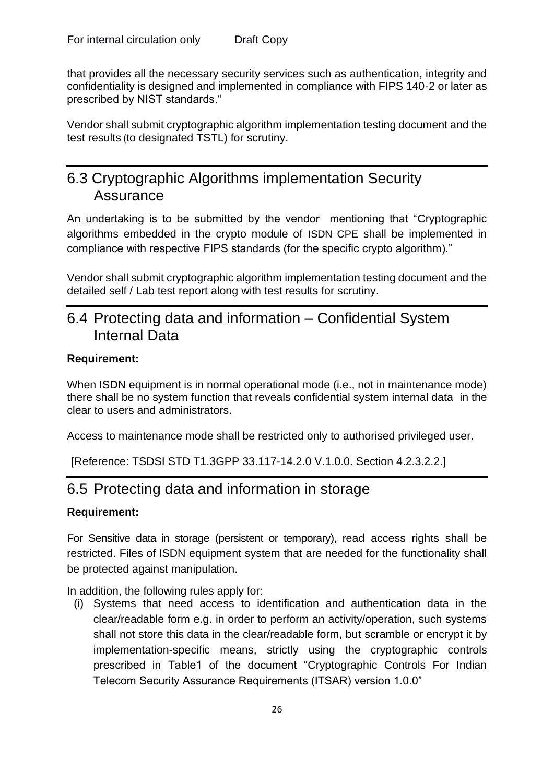that provides all the necessary security services such as authentication, integrity and confidentiality is designed and implemented in compliance with FIPS 140-2 or later as prescribed by NIST standards."

Vendor shall submit cryptographic algorithm implementation testing document and the test results (to designated TSTL) for scrutiny.

## <span id="page-26-0"></span>6.3 Cryptographic Algorithms implementation Security Assurance

An undertaking is to be submitted by the vendor mentioning that "Cryptographic algorithms embedded in the crypto module of ISDN CPE shall be implemented in compliance with respective FIPS standards (for the specific crypto algorithm)."

Vendor shall submit cryptographic algorithm implementation testing document and the detailed self / Lab test report along with test results for scrutiny.

## <span id="page-26-1"></span>6.4 Protecting data and information – Confidential System Internal Data

#### **Requirement:**

When ISDN equipment is in normal operational mode (i.e., not in maintenance mode) there shall be no system function that reveals confidential system internal data in the clear to users and administrators.

Access to maintenance mode shall be restricted only to authorised privileged user.

<span id="page-26-2"></span>[Reference: TSDSI STD T1.3GPP 33.117-14.2.0 V.1.0.0. Section 4.2.3.2.2.]

## 6.5 Protecting data and information in storage

#### **Requirement:**

For Sensitive data in storage (persistent or temporary), read access rights shall be restricted. Files of ISDN equipment system that are needed for the functionality shall be protected against manipulation.

In addition, the following rules apply for:

(i) Systems that need access to identification and authentication data in the clear/readable form e.g. in order to perform an activity/operation, such systems shall not store this data in the clear/readable form, but scramble or encrypt it by implementation-specific means, strictly using the cryptographic controls prescribed in Table1 of the document "Cryptographic Controls For Indian Telecom Security Assurance Requirements (ITSAR) version 1.0.0"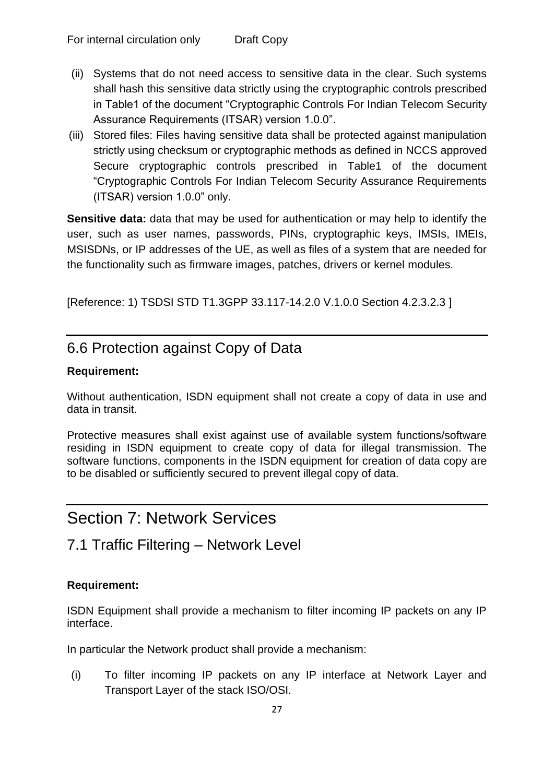- (ii) Systems that do not need access to sensitive data in the clear. Such systems shall hash this sensitive data strictly using the cryptographic controls prescribed in Table1 of the document "Cryptographic Controls For Indian Telecom Security Assurance Requirements (ITSAR) version 1.0.0".
- (iii) Stored files: Files having sensitive data shall be protected against manipulation strictly using checksum or cryptographic methods as defined in NCCS approved Secure cryptographic controls prescribed in Table1 of the document "Cryptographic Controls For Indian Telecom Security Assurance Requirements (ITSAR) version 1.0.0" only.

**Sensitive data:** data that may be used for authentication or may help to identify the user, such as user names, passwords, PINs, cryptographic keys, IMSIs, IMEIs, MSISDNs, or IP addresses of the UE, as well as files of a system that are needed for the functionality such as firmware images, patches, drivers or kernel modules.

[Reference: 1) TSDSI STD T1.3GPP 33.117-14.2.0 V.1.0.0 Section 4.2.3.2.3 ]

## <span id="page-27-0"></span>6.6 Protection against Copy of Data

#### **Requirement:**

Without authentication, ISDN equipment shall not create a copy of data in use and data in transit.

Protective measures shall exist against use of available system functions/software residing in ISDN equipment to create copy of data for illegal transmission. The software functions, components in the ISDN equipment for creation of data copy are to be disabled or sufficiently secured to prevent illegal copy of data.

# <span id="page-27-1"></span>Section 7: Network Services

## <span id="page-27-2"></span>7.1 Traffic Filtering – Network Level

#### **Requirement:**

ISDN Equipment shall provide a mechanism to filter incoming IP packets on any IP interface.

In particular the Network product shall provide a mechanism:

(i) To filter incoming IP packets on any IP interface at Network Layer and Transport Layer of the stack ISO/OSI.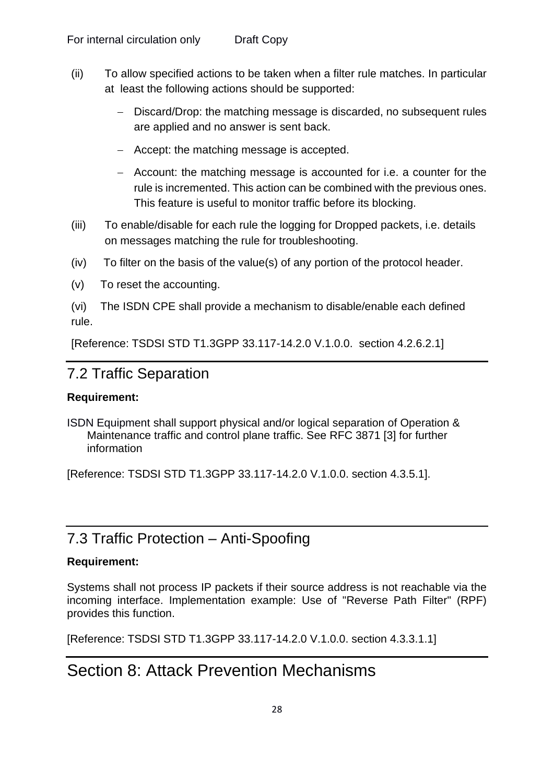- (ii) To allow specified actions to be taken when a filter rule matches. In particular at least the following actions should be supported:
	- Discard/Drop: the matching message is discarded, no subsequent rules are applied and no answer is sent back.
	- − Accept: the matching message is accepted.
	- − Account: the matching message is accounted for i.e. a counter for the rule is incremented. This action can be combined with the previous ones. This feature is useful to monitor traffic before its blocking.
- (iii) To enable/disable for each rule the logging for Dropped packets, i.e. details on messages matching the rule for troubleshooting.
- (iv) To filter on the basis of the value(s) of any portion of the protocol header.
- (v) To reset the accounting.

(vi) The ISDN CPE shall provide a mechanism to disable/enable each defined rule.

[Reference: TSDSI STD T1.3GPP 33.117-14.2.0 V.1.0.0. section 4.2.6.2.1]

## <span id="page-28-0"></span>7.2 Traffic Separation

#### **Requirement:**

ISDN Equipment shall support physical and/or logical separation of Operation & Maintenance traffic and control plane traffic. See RFC 3871 [3] for further information

[Reference: TSDSI STD T1.3GPP 33.117-14.2.0 V.1.0.0. section 4.3.5.1].

## <span id="page-28-1"></span>7.3 Traffic Protection – Anti-Spoofing

#### **Requirement:**

Systems shall not process IP packets if their source address is not reachable via the incoming interface. Implementation example: Use of "Reverse Path Filter" (RPF) provides this function.

<span id="page-28-2"></span>[Reference: TSDSI STD T1.3GPP 33.117-14.2.0 V.1.0.0. section 4.3.3.1.1]

# Section 8: Attack Prevention Mechanisms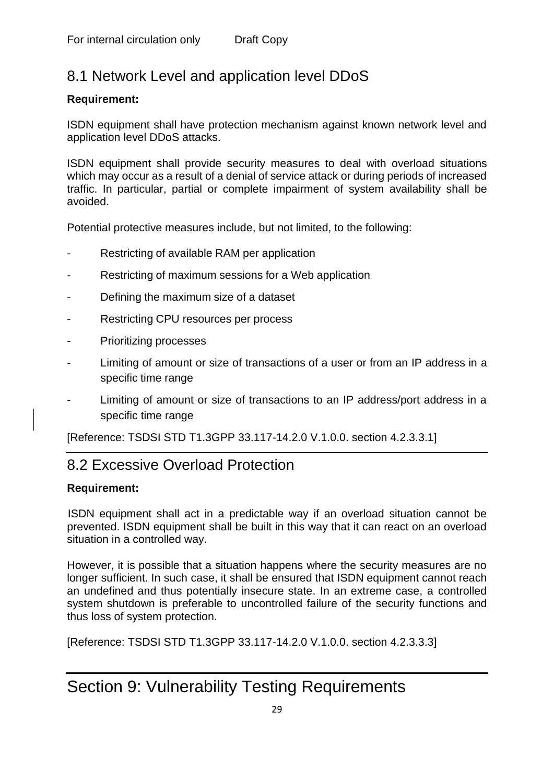## <span id="page-29-0"></span>8.1 Network Level and application level DDoS

#### **Requirement:**

ISDN equipment shall have protection mechanism against known network level and application level DDoS attacks.

ISDN equipment shall provide security measures to deal with overload situations which may occur as a result of a denial of service attack or during periods of increased traffic. In particular, partial or complete impairment of system availability shall be avoided.

Potential protective measures include, but not limited, to the following:

- Restricting of available RAM per application
- Restricting of maximum sessions for a Web application
- Defining the maximum size of a dataset
- Restricting CPU resources per process
- Prioritizing processes
- Limiting of amount or size of transactions of a user or from an IP address in a specific time range
- Limiting of amount or size of transactions to an IP address/port address in a specific time range

<span id="page-29-1"></span>[Reference: TSDSI STD T1.3GPP 33.117-14.2.0 V.1.0.0. section 4.2.3.3.1]

## 8.2 Excessive Overload Protection

#### **Requirement:**

ISDN equipment shall act in a predictable way if an overload situation cannot be prevented. ISDN equipment shall be built in this way that it can react on an overload situation in a controlled way.

However, it is possible that a situation happens where the security measures are no longer sufficient. In such case, it shall be ensured that ISDN equipment cannot reach an undefined and thus potentially insecure state. In an extreme case, a controlled system shutdown is preferable to uncontrolled failure of the security functions and thus loss of system protection.

[Reference: TSDSI STD T1.3GPP 33.117-14.2.0 V.1.0.0. section 4.2.3.3.3]

# <span id="page-29-2"></span>Section 9: Vulnerability Testing Requirements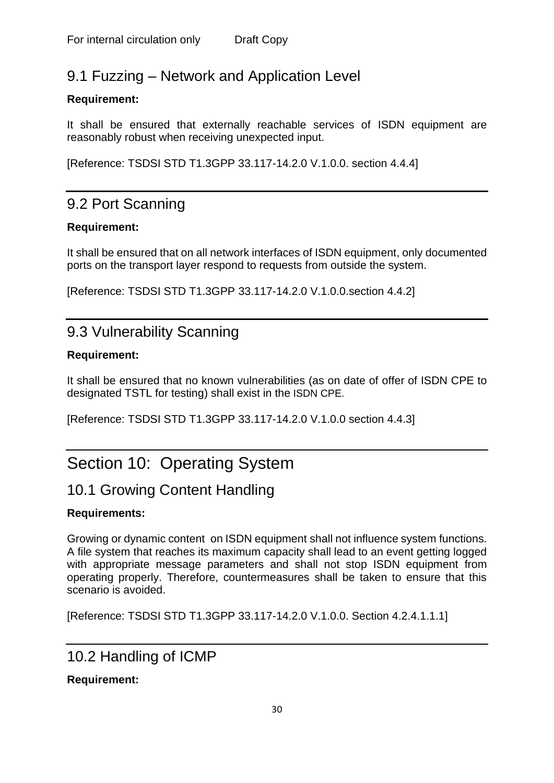## <span id="page-30-0"></span>9.1 Fuzzing – Network and Application Level

#### **Requirement:**

It shall be ensured that externally reachable services of ISDN equipment are reasonably robust when receiving unexpected input.

[Reference: TSDSI STD T1.3GPP 33.117-14.2.0 V.1.0.0. section 4.4.4]

## <span id="page-30-1"></span>9.2 Port Scanning

#### **Requirement:**

It shall be ensured that on all network interfaces of ISDN equipment, only documented ports on the transport layer respond to requests from outside the system.

[Reference: TSDSI STD T1.3GPP 33.117-14.2.0 V.1.0.0.section 4.4.2]

## <span id="page-30-2"></span>9.3 Vulnerability Scanning

#### **Requirement:**

It shall be ensured that no known vulnerabilities (as on date of offer of ISDN CPE to designated TSTL for testing) shall exist in the ISDN CPE.

[Reference: TSDSI STD T1.3GPP 33.117-14.2.0 V.1.0.0 section 4.4.3]

# <span id="page-30-3"></span>Section 10: Operating System

## <span id="page-30-4"></span>10.1 Growing Content Handling

#### **Requirements:**

Growing or dynamic content on ISDN equipment shall not influence system functions. A file system that reaches its maximum capacity shall lead to an event getting logged with appropriate message parameters and shall not stop ISDN equipment from operating properly. Therefore, countermeasures shall be taken to ensure that this scenario is avoided.

[Reference: TSDSI STD T1.3GPP 33.117-14.2.0 V.1.0.0. Section 4.2.4.1.1.1]

## <span id="page-30-5"></span>10.2 Handling of ICMP

#### **Requirement:**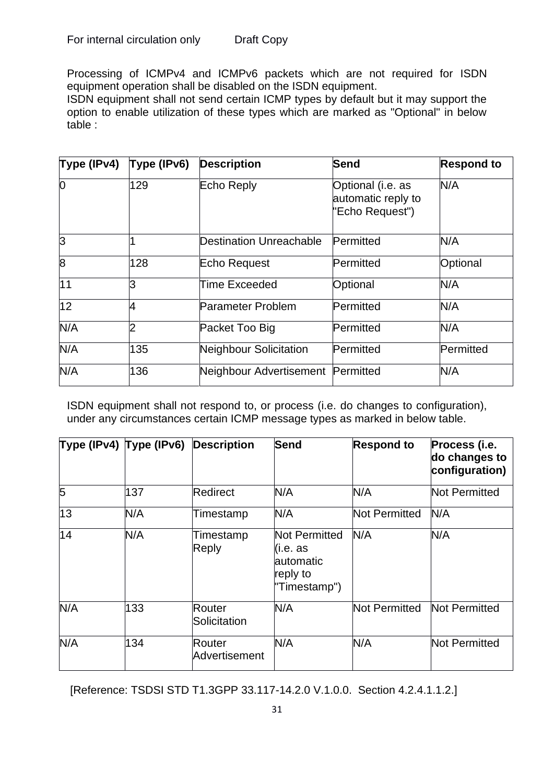Processing of ICMPv4 and ICMPv6 packets which are not required for ISDN equipment operation shall be disabled on the ISDN equipment.

ISDN equipment shall not send certain ICMP types by default but it may support the option to enable utilization of these types which are marked as "Optional" in below table :

| Type (IPv4) | Type (IPv6) | <b>Description</b>                | <b>Send</b>                                                | <b>Respond to</b> |
|-------------|-------------|-----------------------------------|------------------------------------------------------------|-------------------|
| 0           | 129         | Echo Reply                        | Optional (i.e. as<br>automatic reply to<br>"Echo Request") | N/A               |
| 3           |             | <b>Destination Unreachable</b>    | Permitted                                                  | N/A               |
| 8           | 128         | Echo Request                      | Permitted                                                  | Optional          |
| 11          | 3           | Time Exceeded                     | Optional                                                   | N/A               |
| 12          | 4           | <b>Parameter Problem</b>          | Permitted                                                  | N/A               |
| N/A         | っ           | Packet Too Big                    | Permitted                                                  | N/A               |
| N/A         | 135         | <b>Neighbour Solicitation</b>     | Permitted                                                  | Permitted         |
| N/A         | 136         | Neighbour Advertisement Permitted |                                                            | N/A               |

ISDN equipment shall not respond to, or process (i.e. do changes to configuration), under any circumstances certain ICMP message types as marked in below table.

|     | Type (IPv4) $Type (IPv6)$ | <b>Description</b>             | <b>Send</b>                                                                | <b>Respond to</b> | Process (i.e.<br>do changes to<br>configuration) |
|-----|---------------------------|--------------------------------|----------------------------------------------------------------------------|-------------------|--------------------------------------------------|
| 5   | 137                       | Redirect                       | N/A                                                                        | N/A               | Not Permitted                                    |
| 13  | N/A                       | Timestamp                      | N/A                                                                        | Not Permitted     | N/A                                              |
| 14  | N/A                       | Timestamp<br><b>Reply</b>      | <b>Not Permitted</b><br>(i.e. as<br>lautomatic<br>reply to<br>"Timestamp") | N/A               | N/A                                              |
| N/A | 133                       | Router<br>Solicitation         | N/A                                                                        | Not Permitted     | Not Permitted                                    |
| N/A | 134                       | <b>Router</b><br>Advertisement | N/A                                                                        | N/A               | Not Permitted                                    |

[Reference: TSDSI STD T1.3GPP 33.117-14.2.0 V.1.0.0. Section 4.2.4.1.1.2.]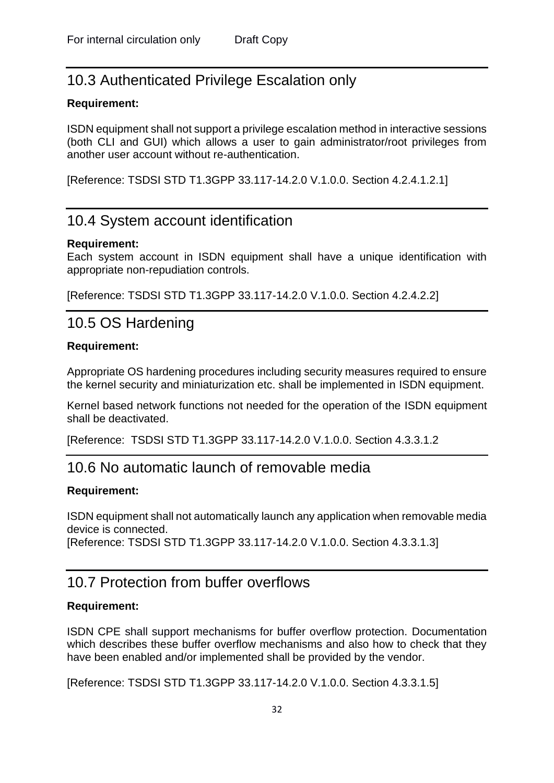## <span id="page-32-0"></span>10.3 Authenticated Privilege Escalation only

#### **Requirement:**

ISDN equipment shall not support a privilege escalation method in interactive sessions (both CLI and GUI) which allows a user to gain administrator/root privileges from another user account without re-authentication.

[Reference: TSDSI STD T1.3GPP 33.117-14.2.0 V.1.0.0. Section 4.2.4.1.2.1]

### <span id="page-32-1"></span>10.4 System account identification

#### **Requirement:**

Each system account in ISDN equipment shall have a unique identification with appropriate non-repudiation controls.

<span id="page-32-2"></span>[Reference: TSDSI STD T1.3GPP 33.117-14.2.0 V.1.0.0. Section 4.2.4.2.2]

### 10.5 OS Hardening

#### **Requirement:**

Appropriate OS hardening procedures including security measures required to ensure the kernel security and miniaturization etc. shall be implemented in ISDN equipment.

Kernel based network functions not needed for the operation of the ISDN equipment shall be deactivated.

[Reference: TSDSI STD T1.3GPP 33.117-14.2.0 V.1.0.0. Section 4.3.3.1.2

### <span id="page-32-3"></span>10.6 No automatic launch of removable media

#### **Requirement:**

ISDN equipment shall not automatically launch any application when removable media device is connected.

[Reference: TSDSI STD T1.3GPP 33.117-14.2.0 V.1.0.0. Section 4.3.3.1.3]

## <span id="page-32-4"></span>10.7 Protection from buffer overflows

#### **Requirement:**

ISDN CPE shall support mechanisms for buffer overflow protection. Documentation which describes these buffer overflow mechanisms and also how to check that they have been enabled and/or implemented shall be provided by the vendor.

[Reference: TSDSI STD T1.3GPP 33.117-14.2.0 V.1.0.0. Section 4.3.3.1.5]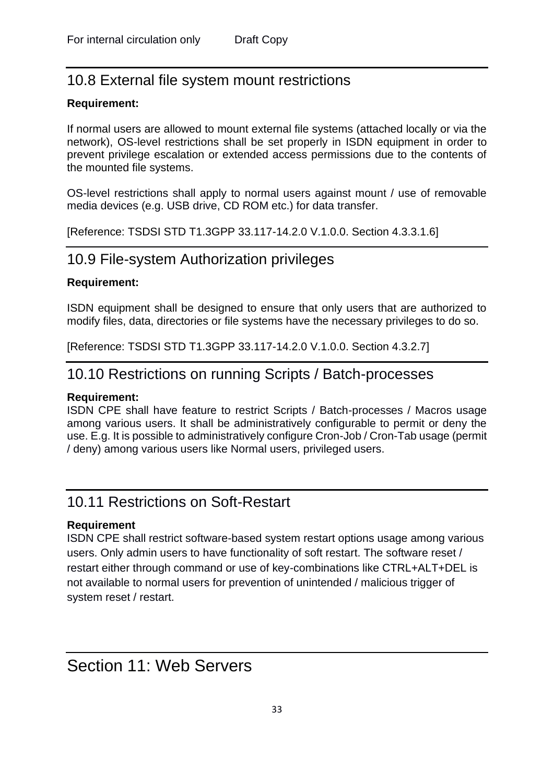## <span id="page-33-0"></span>10.8 External file system mount restrictions

#### **Requirement:**

If normal users are allowed to mount external file systems (attached locally or via the network), OS-level restrictions shall be set properly in ISDN equipment in order to prevent privilege escalation or extended access permissions due to the contents of the mounted file systems.

OS-level restrictions shall apply to normal users against mount / use of removable media devices (e.g. USB drive, CD ROM etc.) for data transfer.

<span id="page-33-1"></span>[Reference: TSDSI STD T1.3GPP 33.117-14.2.0 V.1.0.0. Section 4.3.3.1.6]

### 10.9 File-system Authorization privileges

#### **Requirement:**

ISDN equipment shall be designed to ensure that only users that are authorized to modify files, data, directories or file systems have the necessary privileges to do so.

<span id="page-33-2"></span>[Reference: TSDSI STD T1.3GPP 33.117-14.2.0 V.1.0.0. Section 4.3.2.7]

### 10.10 Restrictions on running Scripts / Batch-processes

#### **Requirement:**

ISDN CPE shall have feature to restrict Scripts / Batch-processes / Macros usage among various users. It shall be administratively configurable to permit or deny the use. E.g. It is possible to administratively configure Cron-Job / Cron-Tab usage (permit / deny) among various users like Normal users, privileged users.

### <span id="page-33-3"></span>10.11 Restrictions on Soft-Restart

#### **Requirement**

ISDN CPE shall restrict software-based system restart options usage among various users. Only admin users to have functionality of soft restart. The software reset / restart either through command or use of key-combinations like CTRL+ALT+DEL is not available to normal users for prevention of unintended / malicious trigger of system reset / restart.

## <span id="page-33-4"></span>Section 11: Web Servers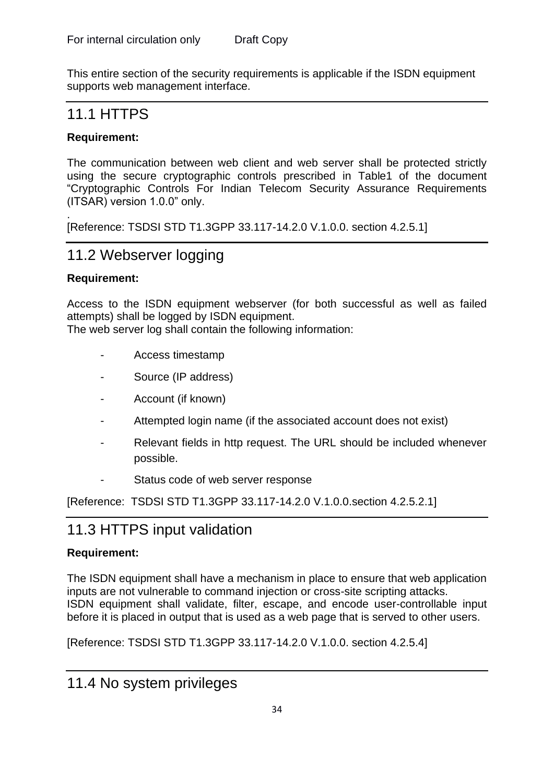This entire section of the security requirements is applicable if the ISDN equipment supports web management interface.

## <span id="page-34-0"></span>11.1 HTTPS

#### **Requirement:**

The communication between web client and web server shall be protected strictly using the secure cryptographic controls prescribed in Table1 of the document "Cryptographic Controls For Indian Telecom Security Assurance Requirements (ITSAR) version 1.0.0" only.

. [Reference: TSDSI STD T1.3GPP 33.117-14.2.0 V.1.0.0. section 4.2.5.1]

## <span id="page-34-1"></span>11.2 Webserver logging

#### **Requirement:**

Access to the ISDN equipment webserver (for both successful as well as failed attempts) shall be logged by ISDN equipment.

The web server log shall contain the following information:

- Access timestamp
- Source (IP address)
- Account (if known)
- Attempted login name (if the associated account does not exist)
- Relevant fields in http request. The URL should be included whenever possible.
- Status code of web server response

[Reference: TSDSI STD T1.3GPP 33.117-14.2.0 V.1.0.0.section 4.2.5.2.1]

## <span id="page-34-2"></span>11.3 HTTPS input validation

#### **Requirement:**

The ISDN equipment shall have a mechanism in place to ensure that web application inputs are not vulnerable to command injection or cross-site scripting attacks. ISDN equipment shall validate, filter, escape, and encode user-controllable input before it is placed in output that is used as a web page that is served to other users.

[Reference: TSDSI STD T1.3GPP 33.117-14.2.0 V.1.0.0. section 4.2.5.4]

## <span id="page-34-3"></span>11.4 No system privileges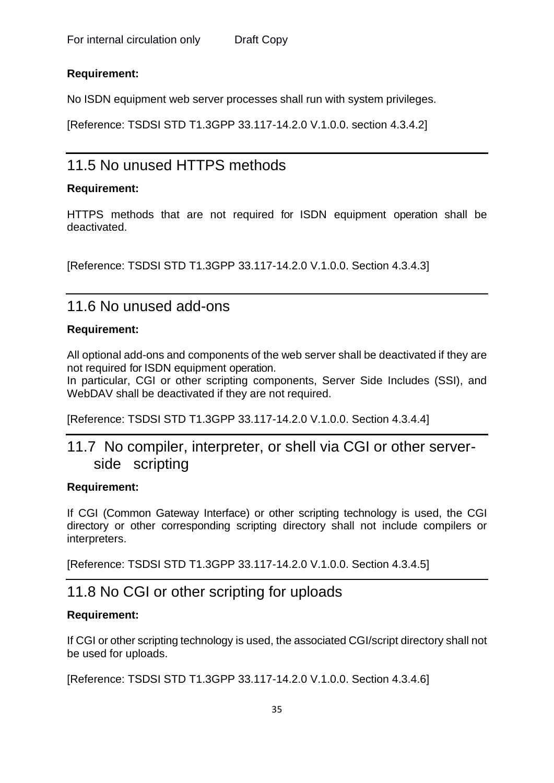#### **Requirement:**

No ISDN equipment web server processes shall run with system privileges.

[Reference: TSDSI STD T1.3GPP 33.117-14.2.0 V.1.0.0. section 4.3.4.2]

## <span id="page-35-0"></span>11.5 No unused HTTPS methods

#### **Requirement:**

HTTPS methods that are not required for ISDN equipment operation shall be deactivated.

[Reference: TSDSI STD T1.3GPP 33.117-14.2.0 V.1.0.0. Section 4.3.4.3]

### <span id="page-35-1"></span>11.6 No unused add-ons

#### **Requirement:**

All optional add-ons and components of the web server shall be deactivated if they are not required for ISDN equipment operation.

In particular, CGI or other scripting components, Server Side Includes (SSI), and WebDAV shall be deactivated if they are not required.

<span id="page-35-2"></span>[Reference: TSDSI STD T1.3GPP 33.117-14.2.0 V.1.0.0. Section 4.3.4.4]

## 11.7 No compiler, interpreter, or shell via CGI or other serverside scripting

#### **Requirement:**

If CGI (Common Gateway Interface) or other scripting technology is used, the CGI directory or other corresponding scripting directory shall not include compilers or interpreters.

<span id="page-35-3"></span>[Reference: TSDSI STD T1.3GPP 33.117-14.2.0 V.1.0.0. Section 4.3.4.5]

## 11.8 No CGI or other scripting for uploads

#### **Requirement:**

If CGI or other scripting technology is used, the associated CGI/script directory shall not be used for uploads.

[Reference: TSDSI STD T1.3GPP 33.117-14.2.0 V.1.0.0. Section 4.3.4.6]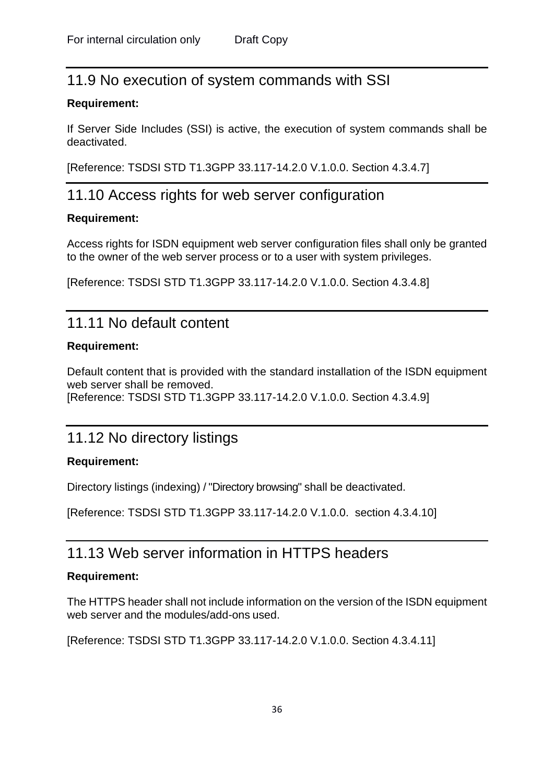## <span id="page-36-0"></span>11.9 No execution of system commands with SSI

#### **Requirement:**

If Server Side Includes (SSI) is active, the execution of system commands shall be deactivated.

<span id="page-36-1"></span>[Reference: TSDSI STD T1.3GPP 33.117-14.2.0 V.1.0.0. Section 4.3.4.7]

### 11.10 Access rights for web server configuration

#### **Requirement:**

Access rights for ISDN equipment web server configuration files shall only be granted to the owner of the web server process or to a user with system privileges.

[Reference: TSDSI STD T1.3GPP 33.117-14.2.0 V.1.0.0. Section 4.3.4.8]

### <span id="page-36-2"></span>11.11 No default content

#### **Requirement:**

Default content that is provided with the standard installation of the ISDN equipment web server shall be removed. [Reference: TSDSI STD T1.3GPP 33.117-14.2.0 V.1.0.0. Section 4.3.4.9]

## <span id="page-36-3"></span>11.12 No directory listings

#### **Requirement:**

Directory listings (indexing) / "Directory browsing" shall be deactivated.

[Reference: TSDSI STD T1.3GPP 33.117-14.2.0 V.1.0.0. section 4.3.4.10]

### <span id="page-36-4"></span>11.13 Web server information in HTTPS headers

#### **Requirement:**

The HTTPS header shall not include information on the version of the ISDN equipment web server and the modules/add-ons used.

[Reference: TSDSI STD T1.3GPP 33.117-14.2.0 V.1.0.0. Section 4.3.4.11]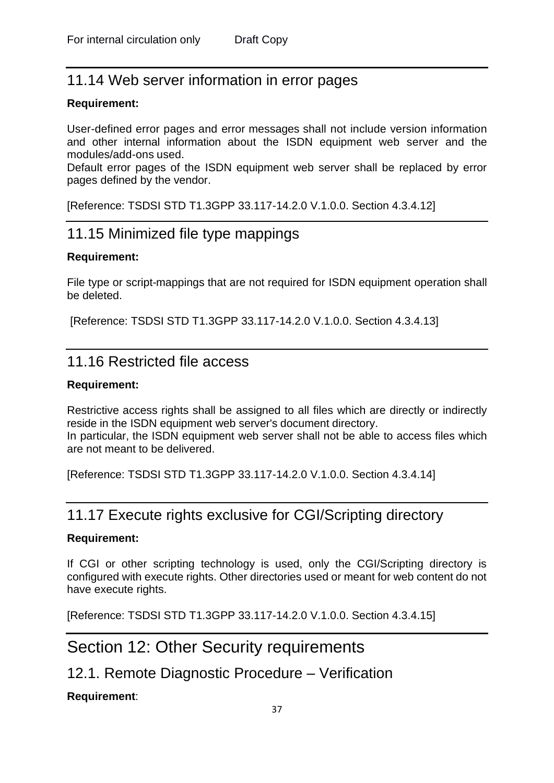## <span id="page-37-0"></span>11.14 Web server information in error pages

#### **Requirement:**

User-defined error pages and error messages shall not include version information and other internal information about the ISDN equipment web server and the modules/add-ons used.

Default error pages of the ISDN equipment web server shall be replaced by error pages defined by the vendor.

<span id="page-37-1"></span>[Reference: TSDSI STD T1.3GPP 33.117-14.2.0 V.1.0.0. Section 4.3.4.12]

## 11.15 Minimized file type mappings

#### **Requirement:**

File type or script-mappings that are not required for ISDN equipment operation shall be deleted.

[Reference: TSDSI STD T1.3GPP 33.117-14.2.0 V.1.0.0. Section 4.3.4.13]

### <span id="page-37-2"></span>11.16 Restricted file access

#### **Requirement:**

Restrictive access rights shall be assigned to all files which are directly or indirectly reside in the ISDN equipment web server's document directory. In particular, the ISDN equipment web server shall not be able to access files which are not meant to be delivered.

[Reference: TSDSI STD T1.3GPP 33.117-14.2.0 V.1.0.0. Section 4.3.4.14]

## <span id="page-37-3"></span>11.17 Execute rights exclusive for CGI/Scripting directory

#### **Requirement:**

If CGI or other scripting technology is used, only the CGI/Scripting directory is configured with execute rights. Other directories used or meant for web content do not have execute rights.

<span id="page-37-4"></span>[Reference: TSDSI STD T1.3GPP 33.117-14.2.0 V.1.0.0. Section 4.3.4.15]

## Section 12: Other Security requirements

## <span id="page-37-5"></span>12.1. Remote Diagnostic Procedure – Verification

#### **Requirement**: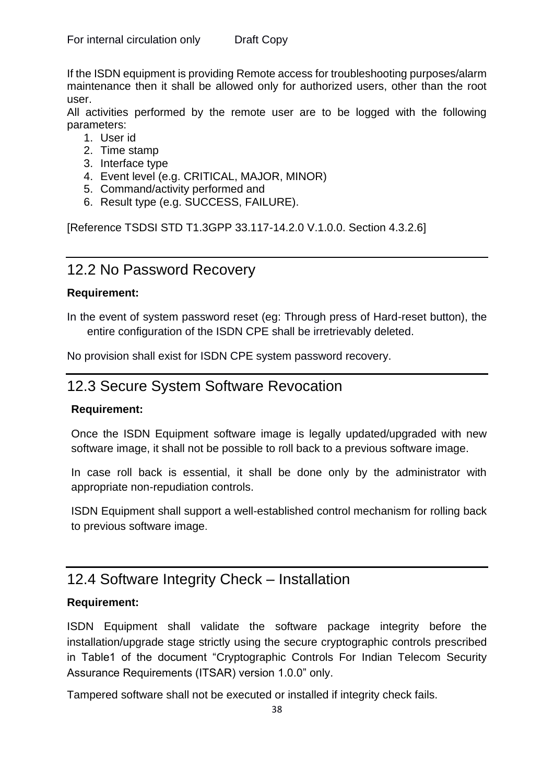If the ISDN equipment is providing Remote access for troubleshooting purposes/alarm maintenance then it shall be allowed only for authorized users, other than the root user.

All activities performed by the remote user are to be logged with the following parameters:

- 1. User id
- 2. Time stamp
- 3. Interface type
- 4. Event level (e.g. CRITICAL, MAJOR, MINOR)
- 5. Command/activity performed and
- 6. Result type (e.g. SUCCESS, FAILURE).

[Reference TSDSI STD T1.3GPP 33.117-14.2.0 V.1.0.0. Section 4.3.2.6]

### <span id="page-38-0"></span>12.2 No Password Recovery

#### **Requirement:**

In the event of system password reset (eg: Through press of Hard-reset button), the entire configuration of the ISDN CPE shall be irretrievably deleted.

No provision shall exist for ISDN CPE system password recovery.

## <span id="page-38-1"></span>12.3 Secure System Software Revocation

#### **Requirement:**

Once the ISDN Equipment software image is legally updated/upgraded with new software image, it shall not be possible to roll back to a previous software image.

In case roll back is essential, it shall be done only by the administrator with appropriate non-repudiation controls.

ISDN Equipment shall support a well-established control mechanism for rolling back to previous software image.

## <span id="page-38-2"></span>12.4 Software Integrity Check – Installation

#### **Requirement:**

ISDN Equipment shall validate the software package integrity before the installation/upgrade stage strictly using the secure cryptographic controls prescribed in Table1 of the document "Cryptographic Controls For Indian Telecom Security Assurance Requirements (ITSAR) version 1.0.0" only.

Tampered software shall not be executed or installed if integrity check fails.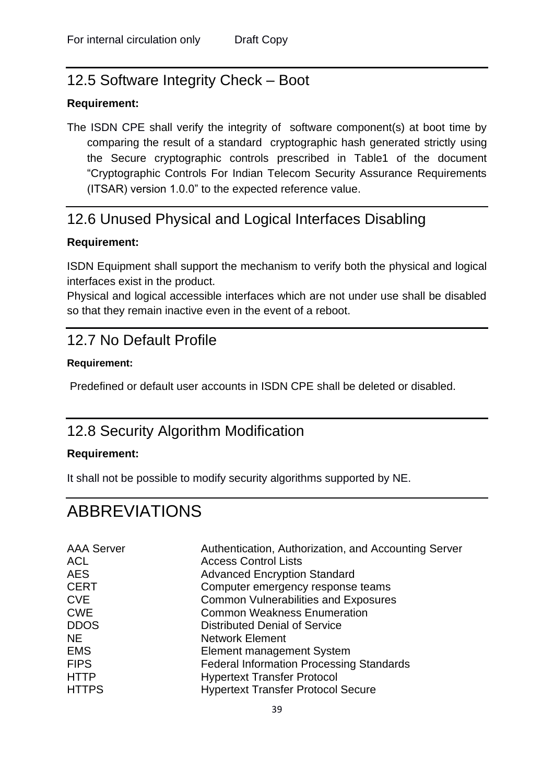## <span id="page-39-0"></span>12.5 Software Integrity Check – Boot

#### **Requirement:**

The ISDN CPE shall verify the integrity of software component(s) at boot time by comparing the result of a standard cryptographic hash generated strictly using the Secure cryptographic controls prescribed in Table1 of the document "Cryptographic Controls For Indian Telecom Security Assurance Requirements (ITSAR) version 1.0.0" to the expected reference value.

## <span id="page-39-1"></span>12.6 Unused Physical and Logical Interfaces Disabling

#### **Requirement:**

ISDN Equipment shall support the mechanism to verify both the physical and logical interfaces exist in the product.

Physical and logical accessible interfaces which are not under use shall be disabled so that they remain inactive even in the event of a reboot.

## <span id="page-39-2"></span>12.7 No Default Profile

#### **Requirement:**

Predefined or default user accounts in ISDN CPE shall be deleted or disabled.

## <span id="page-39-3"></span>12.8 Security Algorithm Modification

#### **Requirement:**

It shall not be possible to modify security algorithms supported by NE.

## <span id="page-39-4"></span>ABBREVIATIONS

| <b>AAA Server</b> | Authentication, Authorization, and Accounting Server |
|-------------------|------------------------------------------------------|
| <b>ACL</b>        | <b>Access Control Lists</b>                          |
| <b>AES</b>        | <b>Advanced Encryption Standard</b>                  |
| <b>CERT</b>       | Computer emergency response teams                    |
| <b>CVE</b>        | <b>Common Vulnerabilities and Exposures</b>          |
| <b>CWE</b>        | <b>Common Weakness Enumeration</b>                   |
| <b>DDOS</b>       | <b>Distributed Denial of Service</b>                 |
| NE.               | <b>Network Element</b>                               |
| <b>EMS</b>        | Element management System                            |
| <b>FIPS</b>       | <b>Federal Information Processing Standards</b>      |
| <b>HTTP</b>       | <b>Hypertext Transfer Protocol</b>                   |
| <b>HTTPS</b>      | <b>Hypertext Transfer Protocol Secure</b>            |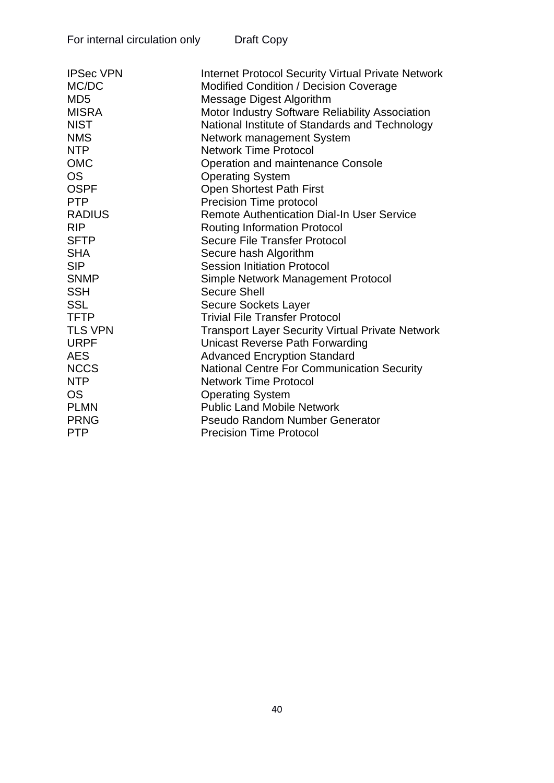| For internal circulation only | Draft Copy |
|-------------------------------|------------|
|                               |            |

| <b>IPSec VPN</b> | <b>Internet Protocol Security Virtual Private Network</b> |
|------------------|-----------------------------------------------------------|
| MC/DC            | <b>Modified Condition / Decision Coverage</b>             |
| MD <sub>5</sub>  | <b>Message Digest Algorithm</b>                           |
| <b>MISRA</b>     | <b>Motor Industry Software Reliability Association</b>    |
| <b>NIST</b>      | National Institute of Standards and Technology            |
| <b>NMS</b>       | Network management System                                 |
| <b>NTP</b>       | <b>Network Time Protocol</b>                              |
| <b>OMC</b>       | <b>Operation and maintenance Console</b>                  |
| <b>OS</b>        | <b>Operating System</b>                                   |
| <b>OSPF</b>      | <b>Open Shortest Path First</b>                           |
| <b>PTP</b>       | Precision Time protocol                                   |
| <b>RADIUS</b>    | <b>Remote Authentication Dial-In User Service</b>         |
| <b>RIP</b>       | <b>Routing Information Protocol</b>                       |
| <b>SFTP</b>      | <b>Secure File Transfer Protocol</b>                      |
| <b>SHA</b>       | Secure hash Algorithm                                     |
| <b>SIP</b>       | <b>Session Initiation Protocol</b>                        |
| <b>SNMP</b>      | Simple Network Management Protocol                        |
| <b>SSH</b>       | <b>Secure Shell</b>                                       |
| <b>SSL</b>       | <b>Secure Sockets Layer</b>                               |
| <b>TFTP</b>      | <b>Trivial File Transfer Protocol</b>                     |
| <b>TLS VPN</b>   | <b>Transport Layer Security Virtual Private Network</b>   |
| <b>URPF</b>      | Unicast Reverse Path Forwarding                           |
| <b>AES</b>       | <b>Advanced Encryption Standard</b>                       |
| <b>NCCS</b>      | National Centre For Communication Security                |
| <b>NTP</b>       | <b>Network Time Protocol</b>                              |
| <b>OS</b>        | <b>Operating System</b>                                   |
| <b>PLMN</b>      | <b>Public Land Mobile Network</b>                         |
| <b>PRNG</b>      | <b>Pseudo Random Number Generator</b>                     |
| <b>PTP</b>       | <b>Precision Time Protocol</b>                            |